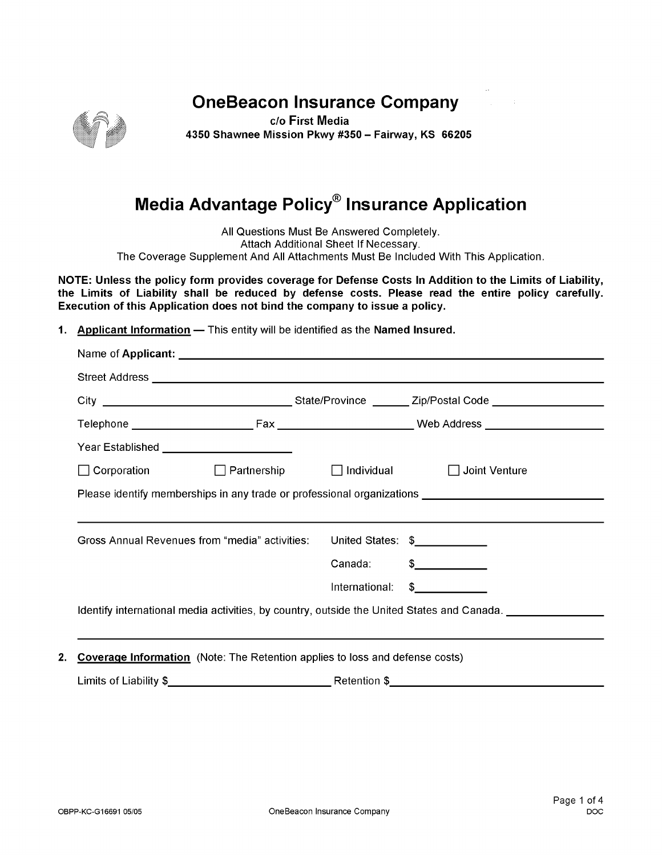

c/o First Media 4350 Shawnee Mission Pkwy #350 - Fairway, KS 66205

# **Media Advantage Policy® Insurance Application**

All Questions Must Be Answered Completely. Attach Additional Sheet If Necessary. The Coverage Supplement And All Attachments Must Be Included With This Application.

NOTE: Unless the policy form provides coverage for Defense Costs In Addition to the Limits of Liability, the Limits of Liability shall be reduced by defense costs. Please read the entire policy carefully. Execution of this Application does not bind the company to issue a policy.

1. Applicant Information - This entity will be identified as the Named Insured.

| Year Established ________________________                                                           |                |                       |
|-----------------------------------------------------------------------------------------------------|----------------|-----------------------|
| □ Corporation C Partnership D Individual D Joint Venture                                            |                |                       |
| Please identify memberships in any trade or professional organizations ____________________________ |                |                       |
|                                                                                                     |                |                       |
| Gross Annual Revenues from "media" activities:                                                      |                | United States: \$     |
|                                                                                                     |                | Canada: $\frac{1}{2}$ |
|                                                                                                     | International: | $\frac{1}{2}$         |
| Identify international media activities, by country, outside the United States and Canada.          |                |                       |
|                                                                                                     |                |                       |

 $2.$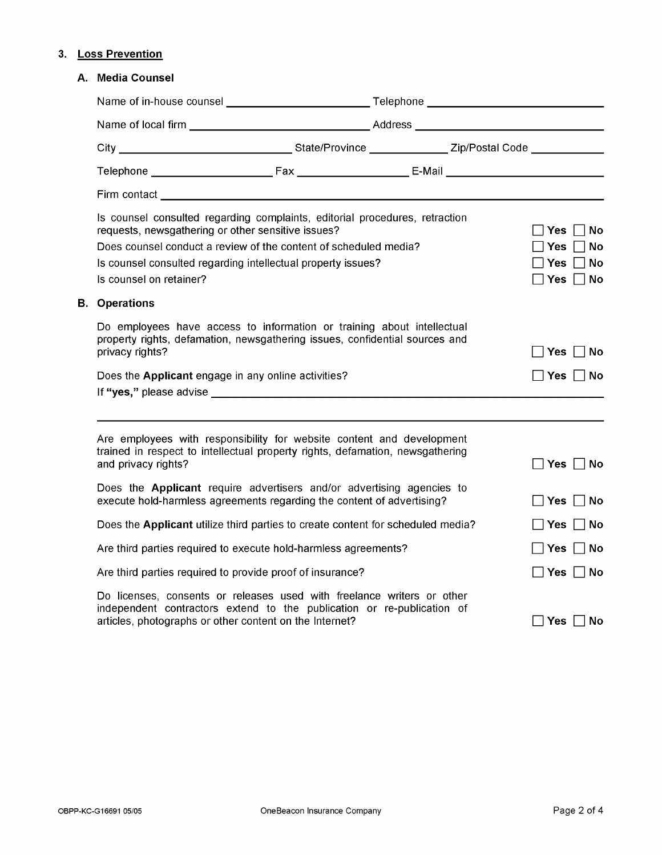### 3. Loss Prevention

| A. Media Counsel                                                                                                                                                                                                                                                                                 |  |                      |                                     |
|--------------------------------------------------------------------------------------------------------------------------------------------------------------------------------------------------------------------------------------------------------------------------------------------------|--|----------------------|-------------------------------------|
|                                                                                                                                                                                                                                                                                                  |  |                      |                                     |
|                                                                                                                                                                                                                                                                                                  |  |                      |                                     |
|                                                                                                                                                                                                                                                                                                  |  |                      |                                     |
|                                                                                                                                                                                                                                                                                                  |  |                      |                                     |
|                                                                                                                                                                                                                                                                                                  |  |                      |                                     |
| Is counsel consulted regarding complaints, editorial procedures, retraction<br>requests, newsgathering or other sensitive issues?<br>Does counsel conduct a review of the content of scheduled media?<br>Is counsel consulted regarding intellectual property issues?<br>Is counsel on retainer? |  | Yes<br>Yes:<br>Yes l | ∣No<br>l No<br>∣No<br>Yes $\Box$ No |
| <b>B.</b> Operations                                                                                                                                                                                                                                                                             |  |                      |                                     |
| Do employees have access to information or training about intellectual<br>property rights, defamation, newsgathering issues, confidential sources and<br>privacy rights?<br>Does the Applicant engage in any online activities?                                                                  |  | $\Box$ Yes $\Box$ No | Yes     No                          |
|                                                                                                                                                                                                                                                                                                  |  |                      |                                     |
| Are employees with responsibility for website content and development<br>trained in respect to intellectual property rights, defamation, newsgathering<br>and privacy rights?                                                                                                                    |  |                      | ∣Yes∣∣No                            |
| Does the Applicant require advertisers and/or advertising agencies to<br>execute hold-harmless agreements regarding the content of advertising?                                                                                                                                                  |  |                      | Yes $\Box$ No                       |
| Does the Applicant utilize third parties to create content for scheduled media?                                                                                                                                                                                                                  |  | Yes    No            |                                     |
| Are third parties required to execute hold-harmless agreements?                                                                                                                                                                                                                                  |  |                      | Yes $\Box$ No                       |
| Are third parties required to provide proof of insurance?                                                                                                                                                                                                                                        |  | $\Box$ Yes $\Box$ No |                                     |
| Do licenses, consents or releases used with freelance writers or other<br>independent contractors extend to the publication or re-publication of<br>articles, photographs or other content on the Internet?                                                                                      |  | Yes $\lceil$         | l No                                |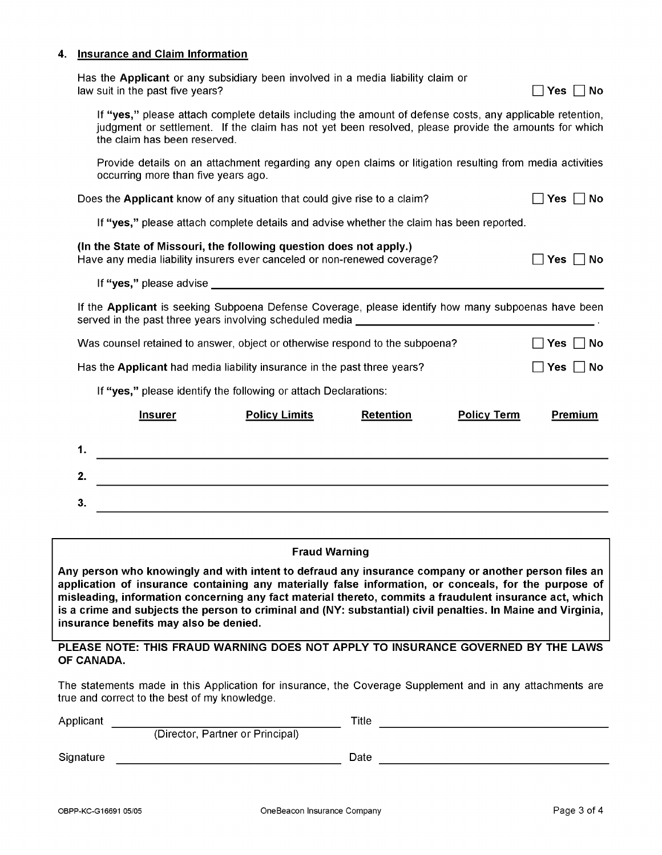#### 4. Insurance and Claim Information

 $\ddot{\phantom{a}}$ 

 $\mathbf{r}$ 

|    | law suit in the past five years?                                                                                                                                                                                                                  | Has the Applicant or any subsidiary been involved in a media liability claim or                                                                                                         |                  |                    | l No<br>∣ Yes ∣   |  |
|----|---------------------------------------------------------------------------------------------------------------------------------------------------------------------------------------------------------------------------------------------------|-----------------------------------------------------------------------------------------------------------------------------------------------------------------------------------------|------------------|--------------------|-------------------|--|
|    | If "yes," please attach complete details including the amount of defense costs, any applicable retention,<br>judgment or settlement. If the claim has not yet been resolved, please provide the amounts for which<br>the claim has been reserved. |                                                                                                                                                                                         |                  |                    |                   |  |
|    | Provide details on an attachment regarding any open claims or litigation resulting from media activities<br>occurring more than five years ago.                                                                                                   |                                                                                                                                                                                         |                  |                    |                   |  |
|    |                                                                                                                                                                                                                                                   | Does the Applicant know of any situation that could give rise to a claim?                                                                                                               |                  |                    | No<br><b>Yes</b>  |  |
|    |                                                                                                                                                                                                                                                   | If "yes," please attach complete details and advise whether the claim has been reported.                                                                                                |                  |                    |                   |  |
|    | (In the State of Missouri, the following question does not apply.)<br>Have any media liability insurers ever canceled or non-renewed coverage?<br>No<br><b>Yes</b>                                                                                |                                                                                                                                                                                         |                  |                    |                   |  |
|    |                                                                                                                                                                                                                                                   |                                                                                                                                                                                         |                  |                    |                   |  |
|    |                                                                                                                                                                                                                                                   | If the Applicant is seeking Subpoena Defense Coverage, please identify how many subpoenas have been<br>served in the past three years involving scheduled media _______________________ |                  |                    |                   |  |
|    |                                                                                                                                                                                                                                                   | Was counsel retained to answer, object or otherwise respond to the subpoena?                                                                                                            |                  |                    | <b>Yes</b><br>No  |  |
|    |                                                                                                                                                                                                                                                   | Has the Applicant had media liability insurance in the past three years?                                                                                                                |                  |                    | ∣No<br><b>Yes</b> |  |
|    |                                                                                                                                                                                                                                                   | If "yes," please identify the following or attach Declarations:                                                                                                                         |                  |                    |                   |  |
|    | <b>Insurer</b>                                                                                                                                                                                                                                    | <b>Policy Limits</b>                                                                                                                                                                    | <b>Retention</b> | <b>Policy Term</b> | Premium           |  |
| 1. |                                                                                                                                                                                                                                                   |                                                                                                                                                                                         |                  |                    |                   |  |
| 2. |                                                                                                                                                                                                                                                   |                                                                                                                                                                                         |                  |                    |                   |  |
| 3. |                                                                                                                                                                                                                                                   |                                                                                                                                                                                         |                  |                    |                   |  |
|    |                                                                                                                                                                                                                                                   |                                                                                                                                                                                         |                  |                    |                   |  |

### **Fraud Warning**

Any person who knowingly and with intent to defraud any insurance company or another person files an application of insurance containing any materially false information, or conceals, for the purpose of misleading, information concerning any fact material thereto, commits a fraudulent insurance act, which is a crime and subjects the person to criminal and (NY: substantial) civil penalties. In Maine and Virginia, insurance benefits may also be denied.

PLEASE NOTE: THIS FRAUD WARNING DOES NOT APPLY TO INSURANCE GOVERNED BY THE LAWS OF CANADA.

The statements made in this Application for insurance, the Coverage Supplement and in any attachments are true and correct to the best of my knowledge.

| Applicant |                                  | Title |  |
|-----------|----------------------------------|-------|--|
|           | (Director, Partner or Principal) |       |  |
| Signature |                                  | Date  |  |
|           |                                  |       |  |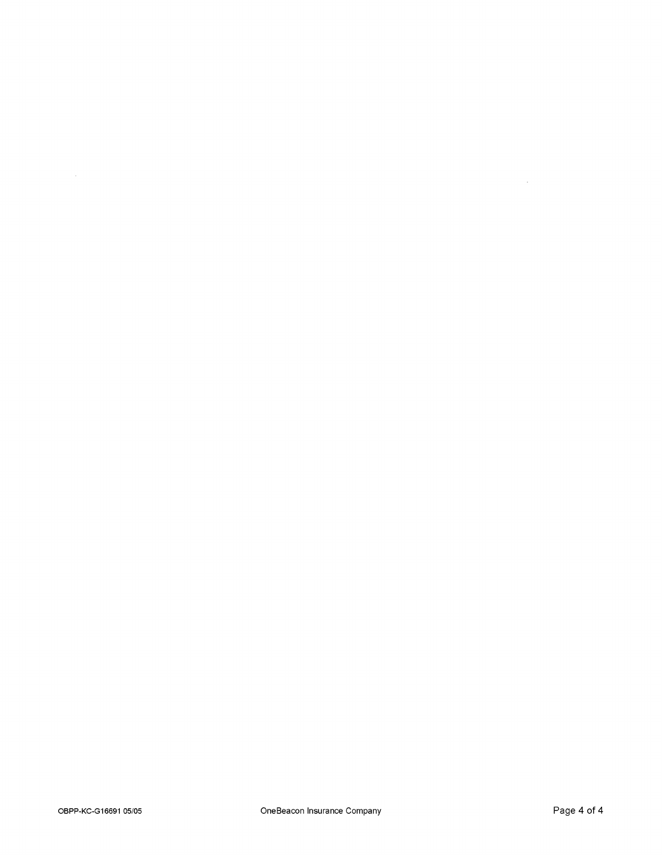$\sim 10^{-1}$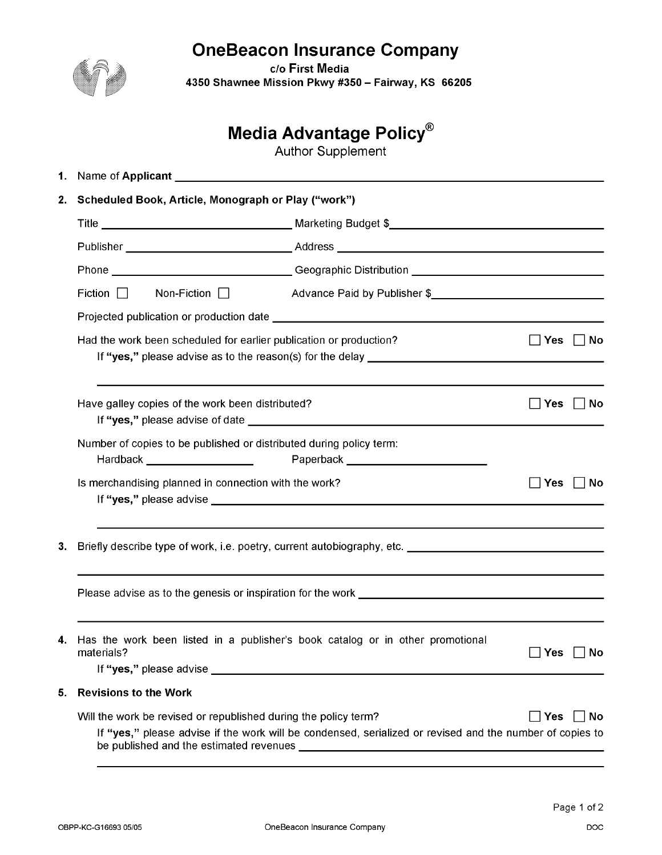

c/o First Media

4350 Shawnee Mission Pkwy #350 - Fairway, KS 66205

# Media Advantage Policy®

Author Supplement

| 1. | Name of Applicant                                                                                                                                                                                                              |                                                                                                          |            |    |
|----|--------------------------------------------------------------------------------------------------------------------------------------------------------------------------------------------------------------------------------|----------------------------------------------------------------------------------------------------------|------------|----|
| 2. | Scheduled Book, Article, Monograph or Play ("work")                                                                                                                                                                            |                                                                                                          |            |    |
|    |                                                                                                                                                                                                                                |                                                                                                          |            |    |
|    |                                                                                                                                                                                                                                |                                                                                                          |            |    |
|    |                                                                                                                                                                                                                                |                                                                                                          |            |    |
|    | Non-Fiction $\Box$<br>Fiction $\Box$                                                                                                                                                                                           | Advance Paid by Publisher \$                                                                             |            |    |
|    | Projected publication or production date example and an example of the state of the state of the state of the state of the state of the state of the state of the state of the state of the state of the state of the state of |                                                                                                          |            |    |
|    | Had the work been scheduled for earlier publication or production?                                                                                                                                                             | If "yes," please advise as to the reason(s) for the delay $\overline{\phantom{a}}$                       | <b>Yes</b> | No |
|    | Have galley copies of the work been distributed?                                                                                                                                                                               |                                                                                                          | <b>Yes</b> | No |
|    | Number of copies to be published or distributed during policy term:<br>Hardback ____________________                                                                                                                           | Paperback __________________________                                                                     |            |    |
|    | Is merchandising planned in connection with the work?                                                                                                                                                                          |                                                                                                          | <b>Yes</b> | No |
| 3. |                                                                                                                                                                                                                                |                                                                                                          |            |    |
|    |                                                                                                                                                                                                                                |                                                                                                          |            |    |
| 4. | materials?                                                                                                                                                                                                                     | Has the work been listed in a publisher's book catalog or in other promotional                           | Yes        | No |
| 5. | <b>Revisions to the Work</b>                                                                                                                                                                                                   |                                                                                                          |            |    |
|    | Will the work be revised or republished during the policy term?                                                                                                                                                                | If "yes," please advise if the work will be condensed, serialized or revised and the number of copies to | <b>Yes</b> | No |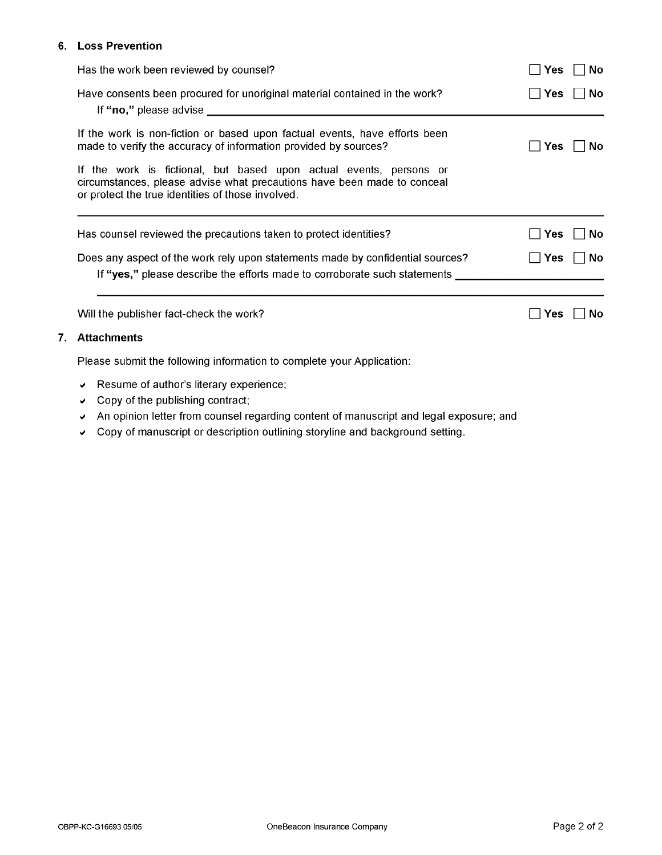### 6. Loss Prevention

|    | Has the work been reviewed by counsel?                                                                                                                                                             | No<br>Yes        |
|----|----------------------------------------------------------------------------------------------------------------------------------------------------------------------------------------------------|------------------|
|    | Have consents been procured for unoriginal material contained in the work?<br>If "no," please advise                                                                                               | <b>Yes</b><br>No |
|    | If the work is non-fiction or based upon factual events, have efforts been<br>made to verify the accuracy of information provided by sources?                                                      | Yes<br>Nο        |
|    | If the work is fictional, but based upon actual events, persons or<br>circumstances, please advise what precautions have been made to conceal<br>or protect the true identities of those involved. |                  |
|    | Has counsel reviewed the precautions taken to protect identities?                                                                                                                                  | <b>Yes</b><br>Nο |
|    | Does any aspect of the work rely upon statements made by confidential sources?<br>If "yes," please describe the efforts made to corroborate such statements                                        | ∣ Yes<br>No      |
|    | Will the publisher fact-check the work?                                                                                                                                                            | <b>Yes</b><br>N٥ |
| 7. | <b>Attachments</b>                                                                                                                                                                                 |                  |
|    | Please submit the following information to complete your Application:                                                                                                                              |                  |
|    | Resume of author's literary experience;<br>✔                                                                                                                                                       |                  |

- $\triangleright$  Copy of the publishing contract;
- An opinion letter from counsel regarding content of manuscript and legal exposure; and
- ↓ Copy of manuscript or description outlining storyline and background setting.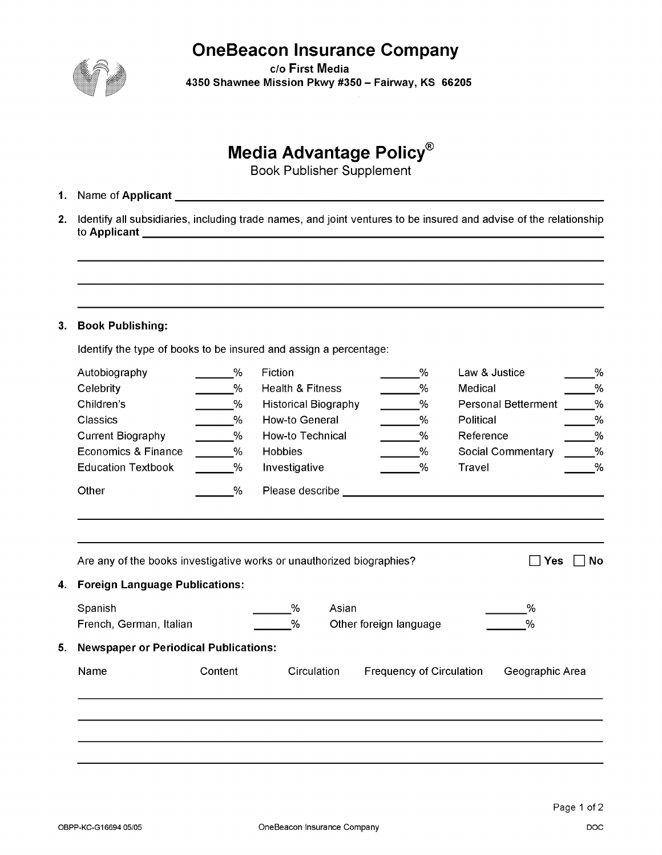

c/o First Media

4350 Shawnee Mission Pkwy #350 - Fairway, KS 66205

# Media Advantage Policy®

**Book Publisher Supplement** 

- 1. Name of Applicant \_\_\_\_\_\_\_\_\_
- 2. Identify all subsidiaries, including trade names, and joint ventures to be insured and advise of the relationship to Applicant <u> 1989 - John Stein, amerikansk politiker (</u>

### 3. Book Publishing:

Identify the type of books to be insured and assign a percentage:

| Autobiography             | $\%$ | Fiction                                                               | % | Law & Justice              | %  |
|---------------------------|------|-----------------------------------------------------------------------|---|----------------------------|----|
| Celebrity                 | ℅    | <b>Health &amp; Fitness</b>                                           | ℅ | Medical                    | %  |
| Children's                | ℅    | <b>Historical Biography</b>                                           | ℅ | <b>Personal Betterment</b> | %  |
| <b>Classics</b>           | ℅    | How-to General                                                        | ℅ | Political                  | %  |
| <b>Current Biography</b>  | ℅    | How-to Technical                                                      | % | Reference                  | %  |
| Economics & Finance       | ℅    | <b>Hobbies</b>                                                        | % | Social Commentary          | %  |
| <b>Education Textbook</b> | %    | Investigative                                                         | % | Travel                     | %  |
| Other                     | %    | Please describe                                                       |   |                            |    |
|                           |      |                                                                       |   |                            |    |
|                           |      | Are any of the books investigative works or unauthorized biographies? |   | Yes                        | No |

### 4. Foreign Language Publications:

| Geographic Area |
|-----------------|
|                 |
|                 |
|                 |
|                 |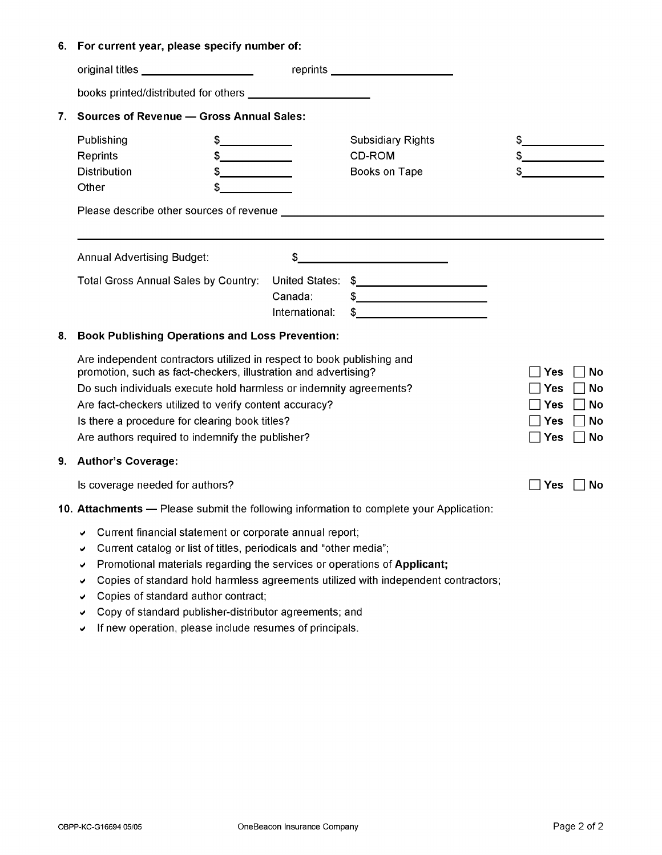### 6. For current year, please specify number of:

|    | original titles _____________________                                                                                                                                                                                                                                                                                                                                           |                                             | reprints _______________________                    |                                        |                            |
|----|---------------------------------------------------------------------------------------------------------------------------------------------------------------------------------------------------------------------------------------------------------------------------------------------------------------------------------------------------------------------------------|---------------------------------------------|-----------------------------------------------------|----------------------------------------|----------------------------|
|    |                                                                                                                                                                                                                                                                                                                                                                                 |                                             |                                                     |                                        |                            |
| 7. | <b>Sources of Revenue - Gross Annual Sales:</b>                                                                                                                                                                                                                                                                                                                                 |                                             |                                                     |                                        |                            |
|    | Publishing<br>\$<br>Reprints<br>\$<br><b>Distribution</b><br>\$<br>Other<br>\$                                                                                                                                                                                                                                                                                                  |                                             | <b>Subsidiary Rights</b><br>CD-ROM<br>Books on Tape | \$<br>\$                               |                            |
|    | <b>Annual Advertising Budget:</b>                                                                                                                                                                                                                                                                                                                                               | \$.                                         |                                                     |                                        |                            |
|    | Total Gross Annual Sales by Country:                                                                                                                                                                                                                                                                                                                                            | United States:<br>Canada:<br>International: | $\frac{1}{2}$<br>$\frac{1}{2}$<br>$\frac{1}{2}$     |                                        |                            |
| 8. | <b>Book Publishing Operations and Loss Prevention:</b>                                                                                                                                                                                                                                                                                                                          |                                             |                                                     |                                        |                            |
|    | Are independent contractors utilized in respect to book publishing and<br>promotion, such as fact-checkers, illustration and advertising?<br>Do such individuals execute hold harmless or indemnity agreements?<br>Are fact-checkers utilized to verify content accuracy?<br>Is there a procedure for clearing book titles?<br>Are authors required to indemnify the publisher? |                                             |                                                     | Yes<br>Yes<br>Yes<br>Yes<br><b>Yes</b> | No<br>No<br>No<br>No<br>No |
| 9. | <b>Author's Coverage:</b>                                                                                                                                                                                                                                                                                                                                                       |                                             |                                                     |                                        |                            |
|    | Is coverage needed for authors?                                                                                                                                                                                                                                                                                                                                                 |                                             |                                                     | Yes                                    | Nο                         |
|    | 10. Attachments - Please submit the following information to complete your Application:                                                                                                                                                                                                                                                                                         |                                             |                                                     |                                        |                            |
|    | Current financial statement or corporate annual report;<br>Current catalog or list of titles, periodicals and "other media";<br>Promotional materials regarding the services or operations of Applicant;<br>Copies of standard hold harmless agreements utilized with independent contractors;<br>✔                                                                             |                                             |                                                     |                                        |                            |

- Copies of standard author contract;
- ↓ Copy of standard publisher-distributor agreements; and
- If new operation, please include resumes of principals.

OBPP-KC-G16694 05/05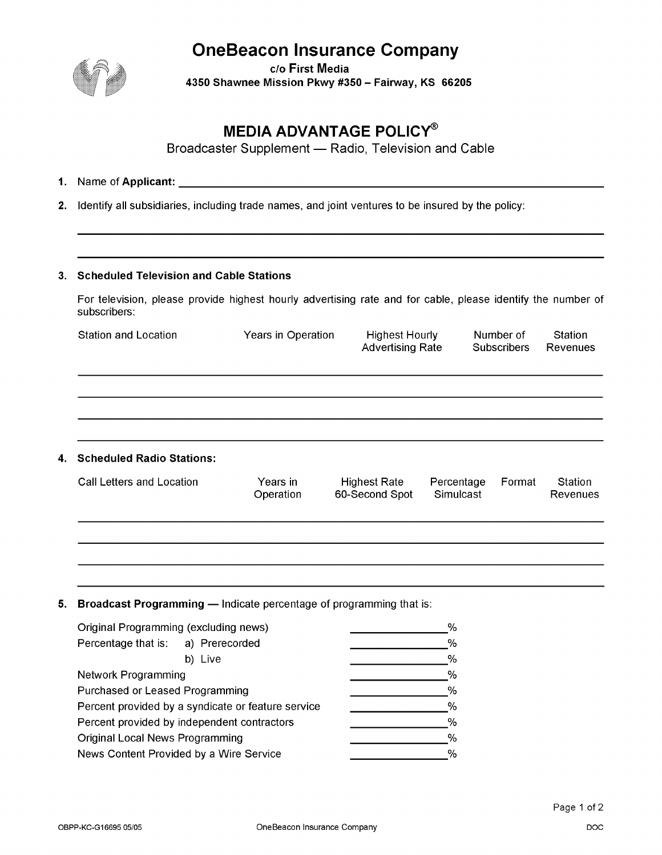

c/o First Media 4350 Shawnee Mission Pkwy #350 - Fairway, KS 66205

# **MEDIA ADVANTAGE POLICY®**

Broadcaster Supplement - Radio, Television and Cable

### 

2. Identify all subsidiaries, including trade names, and joint ventures to be insured by the policy:

### 3. Scheduled Television and Cable Stations

For television, please provide highest hourly advertising rate and for cable, please identify the number of subscribers:

|    | <b>Station and Location</b>      | Years in Operation    | <b>Highest Hourly</b><br><b>Advertising Rate</b> |                         | Number of<br><b>Subscribers</b> | Station<br>Revenues |
|----|----------------------------------|-----------------------|--------------------------------------------------|-------------------------|---------------------------------|---------------------|
|    |                                  |                       |                                                  |                         |                                 |                     |
| 4. | <b>Scheduled Radio Stations:</b> |                       |                                                  |                         |                                 |                     |
|    | Call Letters and Location        | Years in<br>Operation | <b>Highest Rate</b><br>60-Second Spot            | Percentage<br>Simulcast | Format                          | Station<br>Revenues |
|    |                                  |                       |                                                  |                         |                                 |                     |

### 5. Broadcast Programming - Indicate percentage of programming that is:

| Original Programming (excluding news)              |         | % |
|----------------------------------------------------|---------|---|
| Percentage that is: a) Prerecorded                 |         | % |
|                                                    | b) Live | % |
| Network Programming                                |         | % |
| Purchased or Leased Programming                    |         | % |
| Percent provided by a syndicate or feature service | ℅       |   |
| Percent provided by independent contractors        | ℅       |   |
| Original Local News Programming                    |         | ℅ |
| News Content Provided by a Wire Service            |         | % |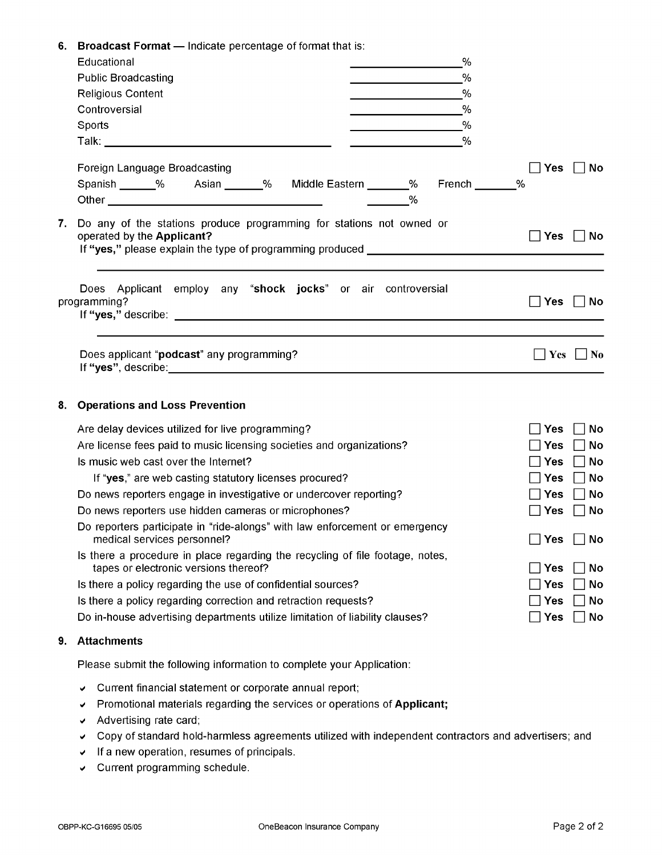| 6. | <b>Broadcast Format</b> — Indicate percentage of format that is:                                                                                                                                                                                                    |                                                                      |              |                      |
|----|---------------------------------------------------------------------------------------------------------------------------------------------------------------------------------------------------------------------------------------------------------------------|----------------------------------------------------------------------|--------------|----------------------|
|    | Educational                                                                                                                                                                                                                                                         | %                                                                    |              |                      |
|    | <b>Public Broadcasting</b>                                                                                                                                                                                                                                          | %                                                                    |              |                      |
|    | <b>Religious Content</b>                                                                                                                                                                                                                                            | %<br><u> 1980 - Johann Barn, mars an t-Amerikaansk kommunister (</u> |              |                      |
|    | Controversial                                                                                                                                                                                                                                                       | %<br><u> 1980 - Johann Barn, mars eta bainar e</u>                   |              |                      |
|    | Sports                                                                                                                                                                                                                                                              | %                                                                    |              |                      |
|    |                                                                                                                                                                                                                                                                     | %                                                                    |              |                      |
|    | Foreign Language Broadcasting                                                                                                                                                                                                                                       |                                                                      |              | ]Yes   No            |
|    | Spanish ______% Asian ______% Middle Eastern _______%                                                                                                                                                                                                               | French %<br>%                                                        |              |                      |
| 7. | Do any of the stations produce programming for stations not owned or                                                                                                                                                                                                |                                                                      |              |                      |
|    | operated by the Applicant?                                                                                                                                                                                                                                          |                                                                      | l Yes        | No                   |
|    |                                                                                                                                                                                                                                                                     |                                                                      |              |                      |
|    | Does Applicant employ any "shock jocks" or air controversial                                                                                                                                                                                                        |                                                                      |              |                      |
|    | programming?                                                                                                                                                                                                                                                        |                                                                      | $\sqcap$ Yes | ∣No                  |
|    | If "yes," describe: $\sqrt{2\pi}$ describe: $\sqrt{2\pi}$ describe: $\sqrt{2\pi}$ describe: $\sqrt{2\pi}$ describe: $\sqrt{2\pi}$ describe: $\sqrt{2\pi}$ describe: $\sqrt{2\pi}$ describe: $\sqrt{2\pi}$ describe: $\sqrt{2\pi}$ describe: $\sqrt{2\pi}$ describe: |                                                                      |              |                      |
|    |                                                                                                                                                                                                                                                                     |                                                                      |              |                      |
|    | Does applicant "podcast" any programming?                                                                                                                                                                                                                           |                                                                      |              | $Yes \mid \text{No}$ |
|    |                                                                                                                                                                                                                                                                     |                                                                      |              |                      |
| 8. | <b>Operations and Loss Prevention</b>                                                                                                                                                                                                                               |                                                                      |              |                      |
|    | Are delay devices utilized for live programming?                                                                                                                                                                                                                    |                                                                      | Yes          | No                   |
|    | Are license fees paid to music licensing societies and organizations?                                                                                                                                                                                               |                                                                      | Yes          | No                   |
|    | Is music web cast over the Internet?                                                                                                                                                                                                                                |                                                                      | <b>Yes</b>   | No                   |
|    | If "yes," are web casting statutory licenses procured?                                                                                                                                                                                                              |                                                                      | Yes          | No                   |
|    | Do news reporters engage in investigative or undercover reporting?                                                                                                                                                                                                  |                                                                      | Yes          | No                   |
|    | Do news reporters use hidden cameras or microphones?                                                                                                                                                                                                                |                                                                      | Yes          | No                   |
|    | Do reporters participate in "ride-alongs" with law enforcement or emergency<br>medical services personnel?                                                                                                                                                          |                                                                      | ∣ Yes        | No                   |
|    | Is there a procedure in place regarding the recycling of file footage, notes,<br>tapes or electronic versions thereof?                                                                                                                                              |                                                                      | <b>Yes</b>   | No                   |
|    | Is there a policy regarding the use of confidential sources?                                                                                                                                                                                                        |                                                                      | <b>Yes</b>   | No                   |
|    | Is there a policy regarding correction and retraction requests?                                                                                                                                                                                                     |                                                                      | <b>Yes</b>   | No                   |
|    | Do in-house advertising departments utilize limitation of liability clauses?                                                                                                                                                                                        |                                                                      | <b>Yes</b>   | No                   |
| 9. | <b>Attachments</b>                                                                                                                                                                                                                                                  |                                                                      |              |                      |

Please submit the following information to complete your Application:

- U Current financial statement or corporate annual report;
- Promotional materials regarding the services or operations of Applicant;
- Advertising rate card;
- Copy of standard hold-harmless agreements utilized with independent contractors and advertisers; and
- $\triangleright$  If a new operation, resumes of principals.
- Current programming schedule.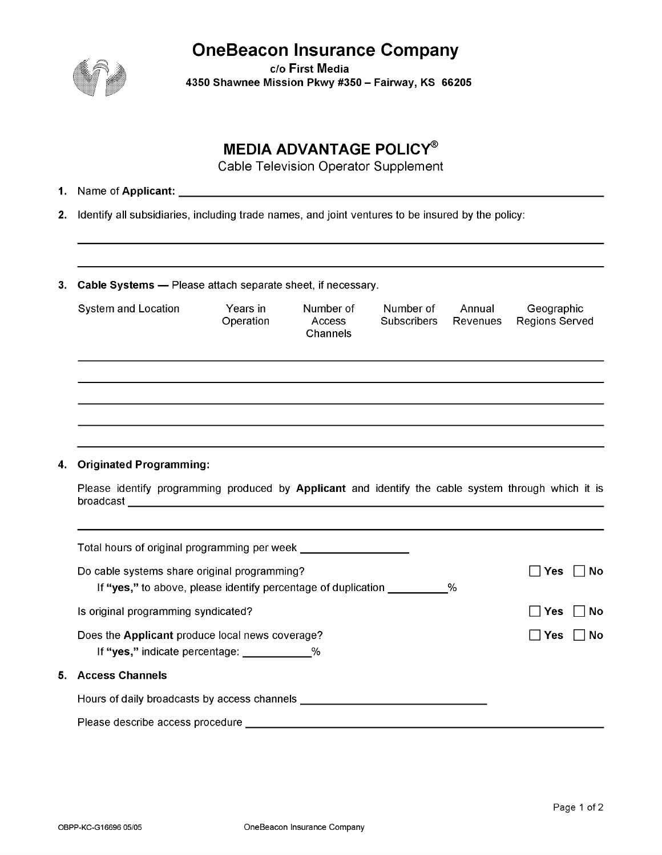

c/o First Media 4350 Shawnee Mission Pkwy #350 - Fairway, KS 66205

### **MEDIA ADVANTAGE POLICY®**

**Cable Television Operator Supplement** 

### 

2. Identify all subsidiaries, including trade names, and joint ventures to be insured by the policy:

### 3. Cable Systems - Please attach separate sheet, if necessary.

| System and Location | Years in l<br>Operation | Number of<br>Access<br>Channels | Number of<br><b>Subscribers</b> | Annual<br>Revenues | Geographic<br><b>Regions Served</b> |
|---------------------|-------------------------|---------------------------------|---------------------------------|--------------------|-------------------------------------|
|                     |                         |                                 |                                 |                    |                                     |
|                     |                         |                                 |                                 |                    |                                     |

### 4. Originated Programming:

Please identify programming produced by Applicant and identify the cable system through which it is 

| Total hours of original programming per week                                                                       |                |
|--------------------------------------------------------------------------------------------------------------------|----------------|
| Do cable systems share original programming?<br>If "yes," to above, please identify percentage of duplication<br>℅ | i Yes<br>l INo |
| Is original programming syndicated?                                                                                | ⊦ Yes<br>No.   |
| Does the Applicant produce local news coverage?<br>If "yes," indicate percentage: $\frac{9}{2}$                    | ⊦ TYes<br>∣No  |
| <b>Access Channels</b>                                                                                             |                |
| Hours of daily broadcasts by access channels                                                                       |                |
| Please describe access procedure                                                                                   |                |

5.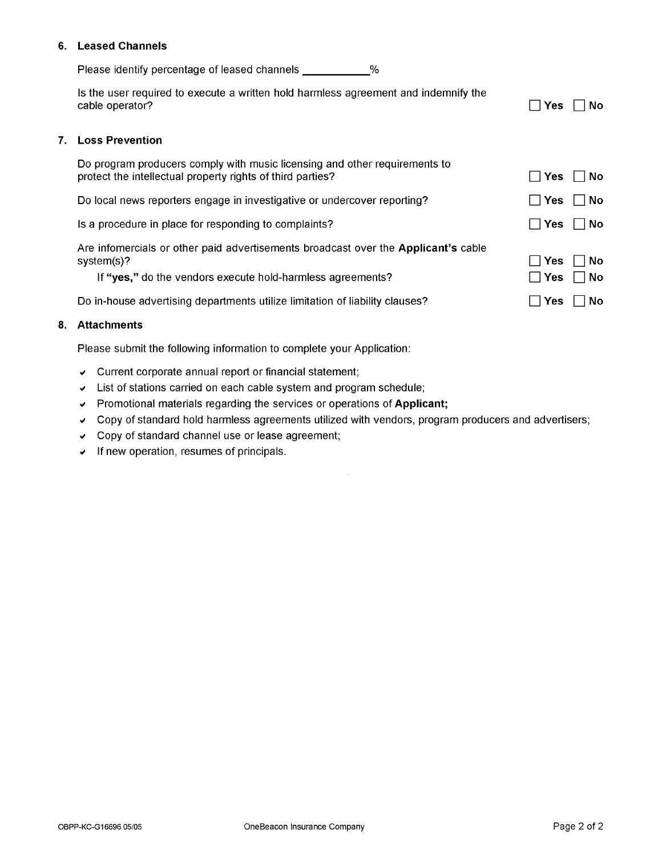### 6. Leased Channels

|    | Please identify percentage of leased channels<br>%                                                                                                                    |                          |                  |
|----|-----------------------------------------------------------------------------------------------------------------------------------------------------------------------|--------------------------|------------------|
|    | Is the user required to execute a written hold harmless agreement and indemnify the<br>cable operator?                                                                | <b>Yes</b>               | Nο               |
| 7. | <b>Loss Prevention</b>                                                                                                                                                |                          |                  |
|    | Do program producers comply with music licensing and other requirements to<br>protect the intellectual property rights of third parties?                              | <b>Yes</b>               | No.              |
|    | Do local news reporters engage in investigative or undercover reporting?                                                                                              | <b>Yes</b>               | No.              |
|    | Is a procedure in place for responding to complaints?                                                                                                                 | <b>Yes</b>               | No.              |
|    | Are infomercials or other paid advertisements broadcast over the <b>Applicant's</b> cable<br>system(s)?<br>If "yes," do the vendors execute hold-harmless agreements? | <b>Yes</b><br><b>Yes</b> | No.<br><b>No</b> |
|    | Do in-house advertising departments utilize limitation of liability clauses?                                                                                          | <b>Yes</b>               | Nο               |
|    |                                                                                                                                                                       |                          |                  |

### 8. Attachments

Please submit the following information to complete your Application:

- Current corporate annual report or financial statement;
- List of stations carried on each cable system and program schedule;
- Promotional materials regarding the services or operations of Applicant;
- Copy of standard hold harmless agreements utilized with vendors, program producers and advertisers;

 $\bar{z}$ 

- Copy of standard channel use or lease agreement;
- $\checkmark$  If new operation, resumes of principals.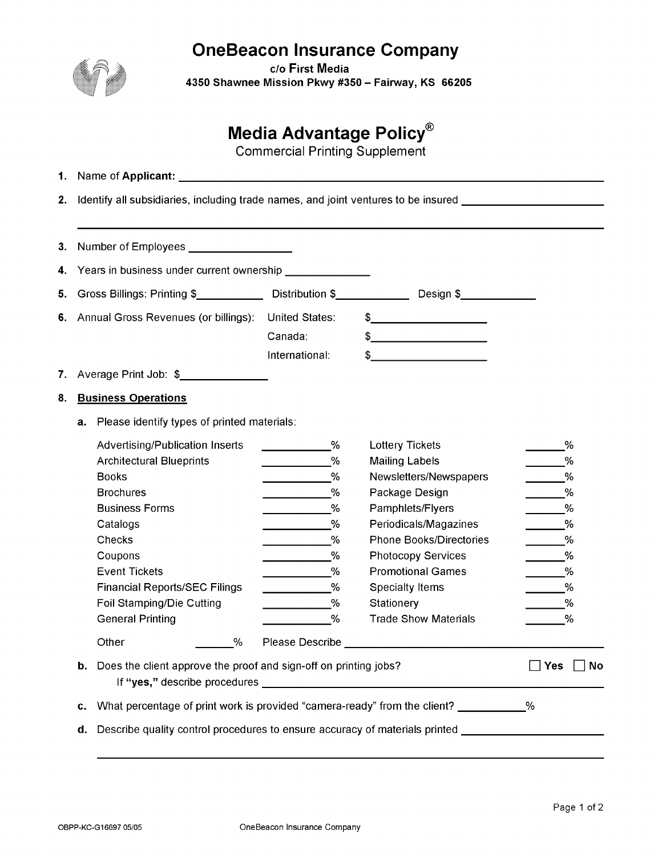c/o First Media 4350 Shawnee Mission Pkwy #350 - Fairway, KS 66205

# Media Advantage Policy®

**Commercial Printing Supplement** 

| 3. | Number of Employees __________________                                                         |                |                                |                  |
|----|------------------------------------------------------------------------------------------------|----------------|--------------------------------|------------------|
| 4. |                                                                                                |                |                                |                  |
| 5. | Gross Billings: Printing \$______________ Distribution \$______________ Design \$_____________ |                |                                |                  |
| 6. | Annual Gross Revenues (or billings):                                                           | United States: | $\frac{1}{2}$                  |                  |
|    |                                                                                                | Canada:        | $\frac{1}{2}$                  |                  |
|    |                                                                                                | International: |                                |                  |
| 7. | Average Print Job: \$                                                                          |                |                                |                  |
| 8. | <b>Business Operations</b>                                                                     |                |                                |                  |
| а. | Please identify types of printed materials:                                                    |                |                                |                  |
|    | Advertising/Publication Inserts                                                                | %              | <b>Lottery Tickets</b>         | %                |
|    | <b>Architectural Blueprints</b>                                                                | $\%$           | <b>Mailing Labels</b>          | %                |
|    | <b>Books</b>                                                                                   | %              | Newsletters/Newspapers         | %                |
|    | <b>Brochures</b>                                                                               | %              | Package Design                 | %                |
|    | <b>Business Forms</b>                                                                          | %              | Pamphlets/Flyers               | %                |
|    | Catalogs                                                                                       | %              | Periodicals/Magazines          | %                |
|    | Checks                                                                                         | %              | <b>Phone Books/Directories</b> | %                |
|    | Coupons                                                                                        | %              | <b>Photocopy Services</b>      | %                |
|    | <b>Event Tickets</b>                                                                           | %              | <b>Promotional Games</b>       | %                |
|    | <b>Financial Reports/SEC Filings</b>                                                           | $\%$           | <b>Specialty Items</b>         | %                |
|    | Foil Stamping/Die Cutting                                                                      | $\%$           | Stationery                     | %                |
|    | <b>General Printing</b>                                                                        | %              | <b>Trade Show Materials</b>    | %                |
|    | Other<br>%                                                                                     |                |                                |                  |
| b. | Does the client approve the proof and sign-off on printing jobs?                               |                |                                | <b>Yes</b><br>No |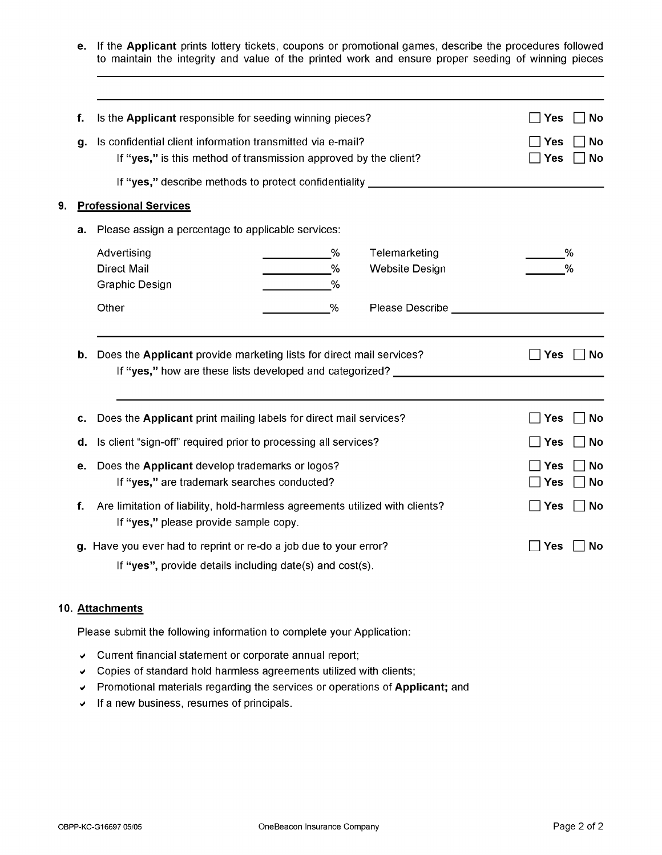e. If the Applicant prints lottery tickets, coupons or promotional games, describe the procedures followed to maintain the integrity and value of the printed work and ensure proper seeding of winning pieces

| f. | Is the Applicant responsible for seeding winning pieces?                                                                         |      |                       | Yes<br>No        |
|----|----------------------------------------------------------------------------------------------------------------------------------|------|-----------------------|------------------|
| g. | Is confidential client information transmitted via e-mail?                                                                       |      |                       | No<br>Yes        |
|    | If "yes," is this method of transmission approved by the client?                                                                 |      |                       | No<br>Yes        |
|    | If "yes," describe methods to protect confidentiality _                                                                          |      |                       |                  |
| 9. | <b>Professional Services</b>                                                                                                     |      |                       |                  |
| a. | Please assign a percentage to applicable services:                                                                               |      |                       |                  |
|    | Advertising                                                                                                                      | %    | Telemarketing         | %                |
|    | <b>Direct Mail</b>                                                                                                               | $\%$ | <b>Website Design</b> | %                |
|    | <b>Graphic Design</b>                                                                                                            | %    |                       |                  |
|    | Other                                                                                                                            | %    | Please Describe       |                  |
| b. | Does the Applicant provide marketing lists for direct mail services?<br>If "yes," how are these lists developed and categorized? |      |                       | $\Box$ Yes<br>No |
| c. | Does the Applicant print mailing labels for direct mail services?                                                                |      |                       | Yes<br>No        |
| d. | Is client "sign-off" required prior to processing all services?                                                                  |      |                       | No<br>Yes        |
| е. | Does the Applicant develop trademarks or logos?                                                                                  |      |                       | <b>Yes</b><br>No |
|    | If "yes," are trademark searches conducted?                                                                                      |      |                       | <b>Yes</b><br>No |
| f. | Are limitation of liability, hold-harmless agreements utilized with clients?                                                     |      |                       | No<br><b>Yes</b> |
|    | If "yes," please provide sample copy.                                                                                            |      |                       |                  |
|    | g. Have you ever had to reprint or re-do a job due to your error?                                                                |      |                       | No<br>Yes        |
|    | If "yes", provide details including date(s) and cost(s).                                                                         |      |                       |                  |

### 10. Attachments

Please submit the following information to complete your Application:

- Current financial statement or corporate annual report;
- Copies of standard hold harmless agreements utilized with clients;
- ↓ Promotional materials regarding the services or operations of Applicant; and
- $\checkmark$  If a new business, resumes of principals.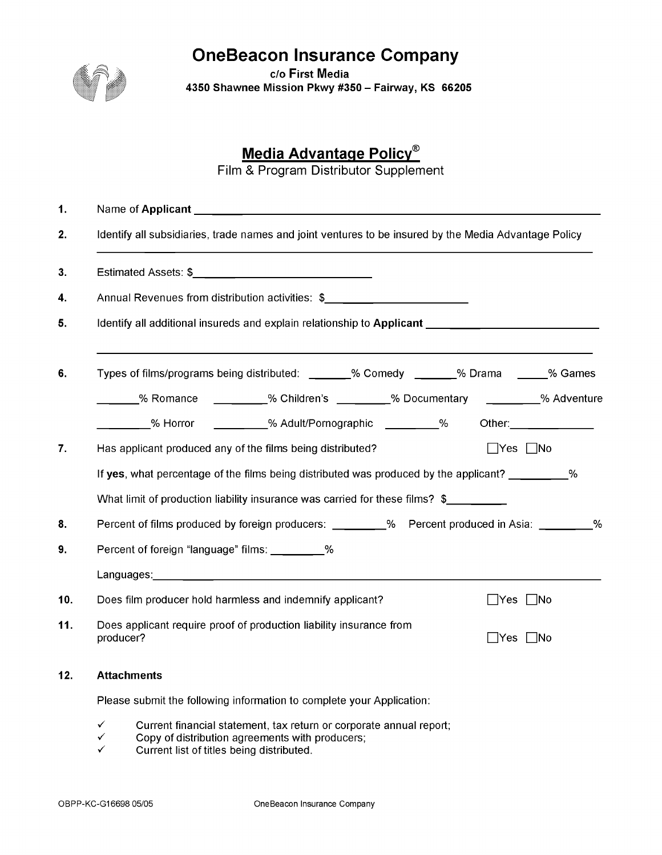

c/o First Media 4350 Shawnee Mission Pkwy #350 - Fairway, KS 66205

# Media Advantage Policy<sup>®</sup><br>Film & Program Distributor Supplement

| 1.  | Name of Applicant <u>example and the set of the set of the set of the set of the set of the set of the set of the set of the set of the set of the set of the set of the set of the set of the set of the set of the set of the </u> |  |
|-----|--------------------------------------------------------------------------------------------------------------------------------------------------------------------------------------------------------------------------------------|--|
| 2.  | Identify all subsidiaries, trade names and joint ventures to be insured by the Media Advantage Policy                                                                                                                                |  |
| 3.  |                                                                                                                                                                                                                                      |  |
| 4.  | Annual Revenues from distribution activities: \$                                                                                                                                                                                     |  |
| 5.  | Identify all additional insureds and explain relationship to Applicant                                                                                                                                                               |  |
| 6.  | Types of films/programs being distributed: _______% Comedy ______% Drama _____% Games                                                                                                                                                |  |
|     | _______% Romance  _________% Children's _________% Documentary  _________% Adventure                                                                                                                                                 |  |
|     | _________% Horror  _________% Adult/Pornographic  _________%   Other:___________                                                                                                                                                     |  |
| 7.  | $\Box$ Yes $\Box$ No<br>Has applicant produced any of the films being distributed?                                                                                                                                                   |  |
|     | If yes, what percentage of the films being distributed was produced by the applicant?                                                                                                                                                |  |
|     | What limit of production liability insurance was carried for these films? \$                                                                                                                                                         |  |
| 8.  | Percent of films produced by foreign producers: _________% Percent produced in Asia: _________%                                                                                                                                      |  |
| 9.  | Percent of foreign "language" films: __________%                                                                                                                                                                                     |  |
|     |                                                                                                                                                                                                                                      |  |
| 10. | Does film producer hold harmless and indemnify applicant?<br>$\Box$ Yes $\Box$ No                                                                                                                                                    |  |
| 11. | Does applicant require proof of production liability insurance from<br>producer?<br>$\Box$ Yes $\Box$ No                                                                                                                             |  |
| 12. | <b>Attachments</b>                                                                                                                                                                                                                   |  |
|     | Please submit the following information to complete your Application:                                                                                                                                                                |  |

- $\checkmark$ Current financial statement, tax return or corporate annual report;
- Copy of distribution agreements with producers;  $\checkmark$
- $\checkmark$ Current list of titles being distributed.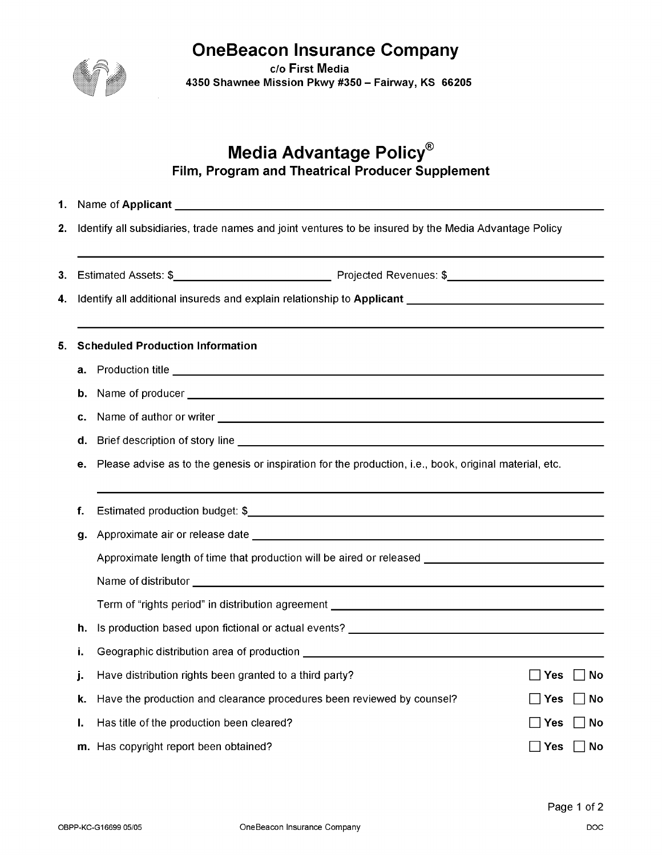c/o First Media 4350 Shawnee Mission Pkwy #350 - Fairway, KS 66205

# Media Advantage Policy® Film, Program and Theatrical Producer Supplement

|    | Name of Applicant Manual Communication of Applicant Manual Communication of Applicant Manual Communication of the Communication of the Communication of the Communication of the Communication of the Communication of the Com |                    |  |
|----|--------------------------------------------------------------------------------------------------------------------------------------------------------------------------------------------------------------------------------|--------------------|--|
|    | Identify all subsidiaries, trade names and joint ventures to be insured by the Media Advantage Policy                                                                                                                          |                    |  |
|    |                                                                                                                                                                                                                                |                    |  |
|    |                                                                                                                                                                                                                                |                    |  |
|    | <b>Scheduled Production Information</b>                                                                                                                                                                                        |                    |  |
| а. |                                                                                                                                                                                                                                |                    |  |
| b. |                                                                                                                                                                                                                                |                    |  |
| c. |                                                                                                                                                                                                                                |                    |  |
| d. |                                                                                                                                                                                                                                |                    |  |
| е. | Please advise as to the genesis or inspiration for the production, i.e., book, original material, etc.                                                                                                                         |                    |  |
| f. |                                                                                                                                                                                                                                |                    |  |
| g. |                                                                                                                                                                                                                                |                    |  |
|    | Approximate length of time that production will be aired or released _______________________________                                                                                                                           |                    |  |
|    |                                                                                                                                                                                                                                |                    |  |
|    | Term of "rights period" in distribution agreement ______________________________                                                                                                                                               |                    |  |
| h. | Is production based upon fictional or actual events? ___________________________                                                                                                                                               |                    |  |
| i. |                                                                                                                                                                                                                                |                    |  |
| j. | Have distribution rights been granted to a third party?                                                                                                                                                                        | No<br>∣ Yes        |  |
| k. | Have the production and clearance procedures been reviewed by counsel?                                                                                                                                                         | ∣No<br><b>Yes</b>  |  |
| ı. | Has title of the production been cleared?                                                                                                                                                                                      | ∣No<br><b>Yes</b>  |  |
|    | m. Has copyright report been obtained?                                                                                                                                                                                         | $\Box$ No<br>∐ Yes |  |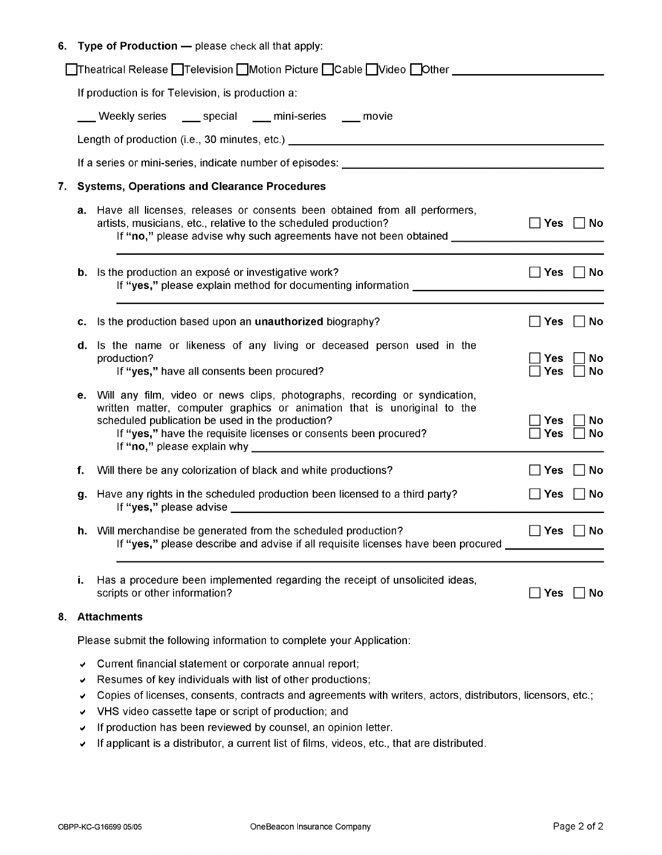### 6. Type of Production - please check all that apply:

|    |        | _Theatrical Release __Television __Motion Picture __Cable __Video __Other ______                                                                                                                                                                                                                                        |                          |          |
|----|--------|-------------------------------------------------------------------------------------------------------------------------------------------------------------------------------------------------------------------------------------------------------------------------------------------------------------------------|--------------------------|----------|
|    |        | If production is for Television, is production a:                                                                                                                                                                                                                                                                       |                          |          |
|    |        | __ Weekly series ____ special ____ mini-series ____ movie                                                                                                                                                                                                                                                               |                          |          |
|    |        | Length of production (i.e., 30 minutes, etc.) __________________________________                                                                                                                                                                                                                                        |                          |          |
|    |        | If a series or mini-series, indicate number of episodes: Letter and the series of the series of the series of                                                                                                                                                                                                           |                          |          |
| 7. |        | <b>Systems, Operations and Clearance Procedures</b>                                                                                                                                                                                                                                                                     |                          |          |
|    |        | <b>a.</b> Have all licenses, releases or consents been obtained from all performers,<br>artists, musicians, etc., relative to the scheduled production?<br>If "no," please advise why such agreements have not been obtained ______________                                                                             | $\Box$ Yes               | ∣No      |
|    |        | <b>b.</b> Is the production an exposé or investigative work?<br>If "yes," please explain method for documenting information ____________________                                                                                                                                                                        | $\Box$ Yes               | No       |
|    | с.     | Is the production based upon an unauthorized biography?                                                                                                                                                                                                                                                                 | l lYes                   | No       |
|    | d.     | Is the name or likeness of any living or deceased person used in the<br>production?<br>If "yes," have all consents been procured?                                                                                                                                                                                       | <b>Yes</b><br><b>Yes</b> | No<br>No |
|    | е.     | Will any film, video or news clips, photographs, recording or syndication,<br>written matter, computer graphics or animation that is unoriginal to the<br>scheduled publication be used in the production?<br>If "yes," have the requisite licenses or consents been procured?<br>If "no," please explain why _________ | <b>Yes</b><br><b>Yes</b> | No<br>No |
|    | f.     | Will there be any colorization of black and white productions?                                                                                                                                                                                                                                                          | ∣ ∣Yes                   | No       |
|    | g.     | Have any rights in the scheduled production been licensed to a third party?                                                                                                                                                                                                                                             | ∣ ∣Yes                   | No       |
|    | h.     | Will merchandise be generated from the scheduled production?<br>If "yes," please describe and advise if all requisite licenses have been procured                                                                                                                                                                       | <b>Yes</b>               | No       |
|    | i.     | Has a procedure been implemented regarding the receipt of unsolicited ideas,<br>scripts or other information?                                                                                                                                                                                                           | ∐ Yes                    | No       |
| 8. |        | <b>Attachments</b>                                                                                                                                                                                                                                                                                                      |                          |          |
|    |        | Please submit the following information to complete your Application:                                                                                                                                                                                                                                                   |                          |          |
|    | ✔<br>✔ | Current financial statement or corporate annual report;<br>Resumes of key individuals with list of other productions;<br>Copies of licenses, consents, contracts and agreements with writers, actors, distributors, licensors, etc.;                                                                                    |                          |          |

- VHS video cassette tape or script of production; and
- If production has been reviewed by counsel, an opinion letter.
- If applicant is a distributor, a current list of films, videos, etc., that are distributed.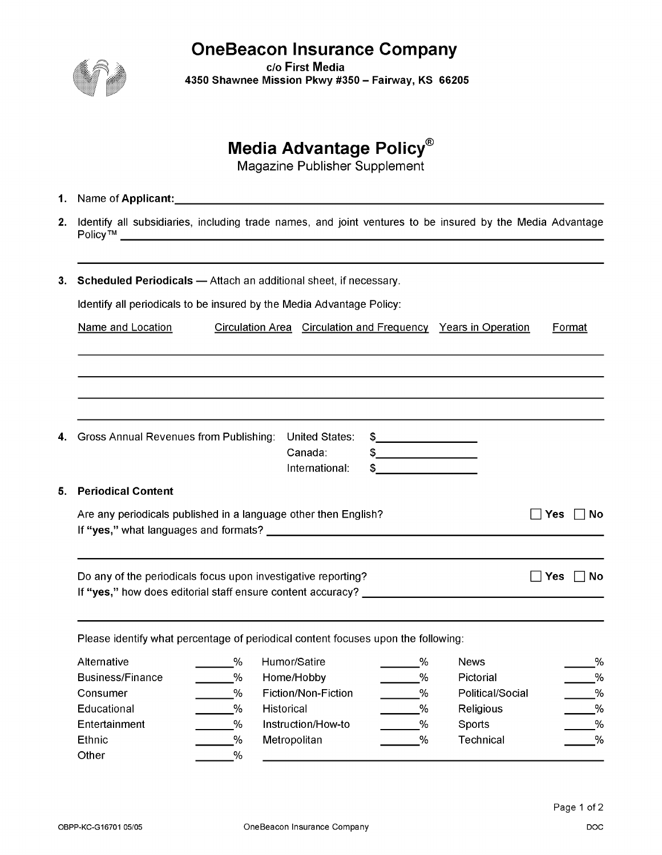c/o First Media

4350 Shawnee Mission Pkwy #350 - Fairway, KS 66205

# Media Advantage Policy®

Magazine Publisher Supplement

| 1. Name of Applicant: |  |
|-----------------------|--|
|-----------------------|--|

2. Identify all subsidiaries, including trade names, and joint ventures to be insured by the Media Advantage Policy™ <u> 1980 - Jan Stein Stein Stein Stein Stein Stein Stein Stein Stein Stein Stein Stein Stein Stein Stein Stein S</u>

### 3. Scheduled Periodicals - Attach an additional sheet, if necessary.

4. Gross Annual Revenues from Publishing: United States:

Identify all periodicals to be insured by the Media Advantage Policy:

| Name and Location | Circulation Area Circulation and Frequency Years in Operation | Format |
|-------------------|---------------------------------------------------------------|--------|
|                   |                                                               |        |

| 5. Periodical Content |
|-----------------------|

| Are any periodicals published in a language other then English? | $\Box$ Yes $\Box$ No |
|-----------------------------------------------------------------|----------------------|
| If "yes," what languages and formats?                           |                      |

Canada:

International:

 $\frac{1}{2}$ 

| Do any of the periodicals focus upon investigative reporting? | $\Box$ Yes $\Box$ No |
|---------------------------------------------------------------|----------------------|
| If "yes," how does editorial staff ensure content accuracy?   |                      |

Please identify what percentage of periodical content focuses upon the following:

| Alternative      | % | Humor/Satire        | % | News             | % |
|------------------|---|---------------------|---|------------------|---|
| Business/Finance | % | Home/Hobby          | ℅ | Pictorial        | ℅ |
| Consumer         | % | Fiction/Non-Fiction | % | Political/Social | ℅ |
| Educational      | % | Historical          | % | <b>Religious</b> | ℅ |
| Entertainment    | % | Instruction/How-to  | % | Sports           | % |
| <b>Ethnic</b>    | % | Metropolitan        | % | Technical        | % |
| Other            | % |                     |   |                  |   |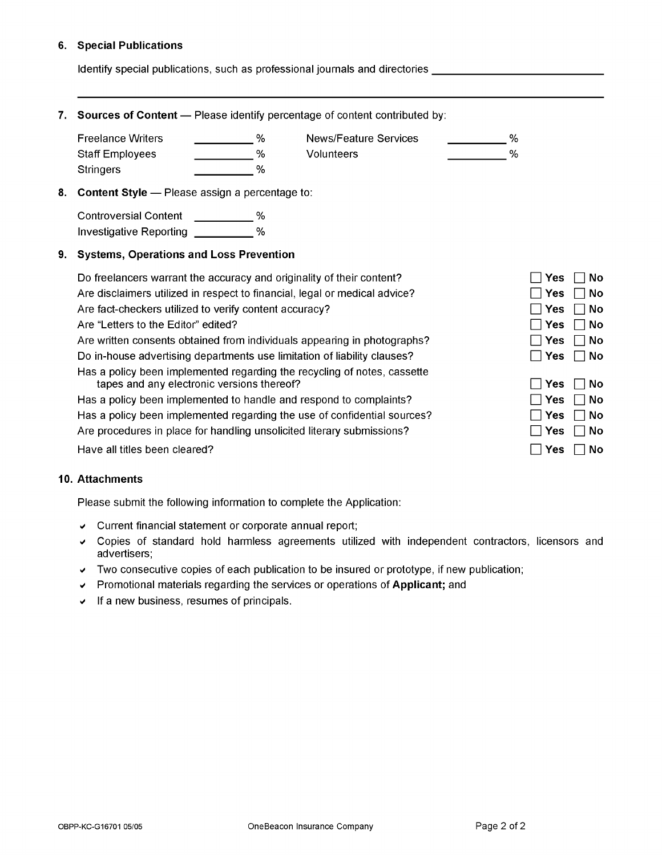### 6. Special Publications

Identify special publications, such as professional journals and directories [100] [100] [100] [100] [100] [100] [100] [100] [100] [100] [100] [100] [100] [100] [100] [100] [100] [100] [100] [100] [100] [100] [100] [100] [

7. Sources of Content - Please identify percentage of content contributed by:

| <b>Freelance Writers</b> | ℀ | News/Feature Services | % |
|--------------------------|---|-----------------------|---|
| <b>Staff Employees</b>   | % | Volunteers            | % |
| Stringers                | % |                       |   |

### 8. Content Style - Please assign a percentage to:

Controversial Content \_\_\_\_\_\_\_\_\_\_\_% Investigative Reporting \_\_\_\_\_\_\_\_\_\_ %

### 9. Systems, Operations and Loss Prevention

| Do freelancers warrant the accuracy and originality of their content?                                                  | Yes:<br>No.         |
|------------------------------------------------------------------------------------------------------------------------|---------------------|
| Are disclaimers utilized in respect to financial, legal or medical advice?                                             | <b>Yes</b><br>l No  |
| Are fact-checkers utilized to verify content accuracy?                                                                 | <b>Yes</b><br>⊟ No  |
| Are "Letters to the Editor" edited?                                                                                    | <b>Yes</b><br>∣No   |
| Are written consents obtained from individuals appearing in photographs?                                               | <b>Yes</b><br>l INo |
| Do in-house advertising departments use limitation of liability clauses?                                               | <b>Yes</b><br>l INo |
| Has a policy been implemented regarding the recycling of notes, cassette<br>tapes and any electronic versions thereof? | <b>Yes</b><br>No.   |
| Has a policy been implemented to handle and respond to complaints?                                                     | <b>Yes</b><br>⊟ No  |
| Has a policy been implemented regarding the use of confidential sources?                                               | <b>Yes</b><br>l No  |
| Are procedures in place for handling unsolicited literary submissions?                                                 | <b>Yes</b><br>∣No   |
|                                                                                                                        |                     |

### 10. Attachments

Please submit the following information to complete the Application:

- Current financial statement or corporate annual report;
- Copies of standard hold harmless agreements utilized with independent contractors, licensors and advertisers;
- ↓ Two consecutive copies of each publication to be insured or prototype, if new publication;
- ↓ Promotional materials regarding the services or operations of Applicant; and
- $\cdot$  If a new business, resumes of principals.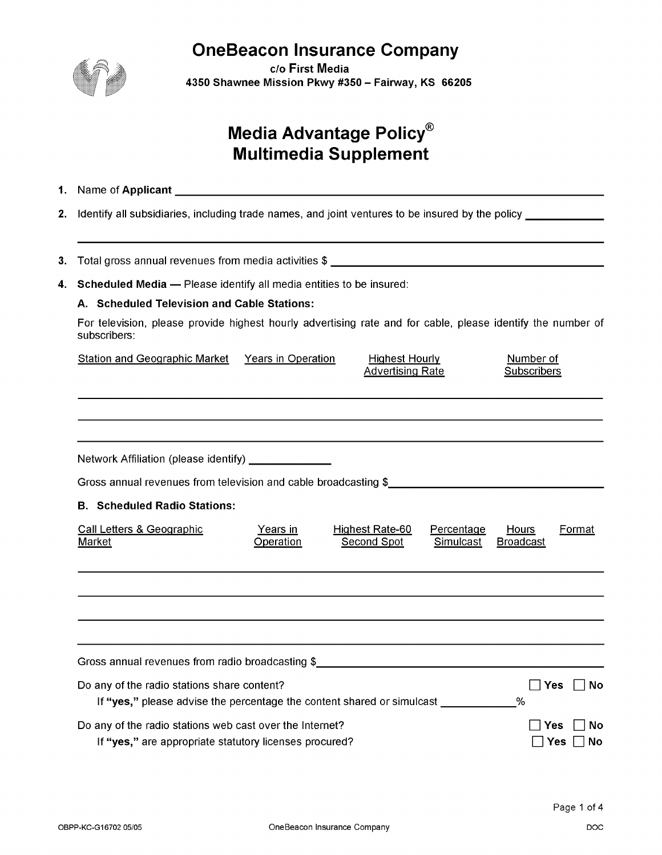

c/o First Media 4350 Shawnee Mission Pkwy #350 - Fairway, KS 66205

# Media Advantage Policy® **Multimedia Supplement**

### 

2. Identify all subsidiaries, including trade names, and joint ventures to be insured by the policy

### 3. Total gross annual revenues from media activities \$ \_\_\_\_\_\_\_\_\_\_\_\_\_\_\_\_\_\_\_\_\_\_\_\_\_

4. Scheduled Media - Please identify all media entities to be insured:

### A. Scheduled Television and Cable Stations:

For television, please provide highest hourly advertising rate and for cable, please identify the number of subscribers:

| <b>Station and Geographic Market</b>                                                                                            | <b>Years in Operation</b>    | <b>Highest Hourly</b><br><b>Advertising Rate</b> |                         | Number of<br><b>Subscribers</b>  |                         |
|---------------------------------------------------------------------------------------------------------------------------------|------------------------------|--------------------------------------------------|-------------------------|----------------------------------|-------------------------|
|                                                                                                                                 |                              |                                                  |                         |                                  |                         |
| Network Affiliation (please identify) _______________                                                                           |                              |                                                  |                         |                                  |                         |
| Gross annual revenues from television and cable broadcasting \$                                                                 |                              |                                                  |                         |                                  |                         |
| <b>B. Scheduled Radio Stations:</b>                                                                                             |                              |                                                  |                         |                                  |                         |
| <b>Call Letters &amp; Geographic</b><br>Market                                                                                  | Years in<br><b>Operation</b> | Highest Rate-60<br>Second Spot                   | Percentage<br>Simulcast | <b>Hours</b><br><b>Broadcast</b> | Format                  |
|                                                                                                                                 |                              |                                                  |                         |                                  |                         |
|                                                                                                                                 |                              |                                                  |                         |                                  |                         |
| Gross annual revenues from radio broadcasting \$_________________________________                                               |                              |                                                  |                         |                                  |                         |
| Do any of the radio stations share content?<br>If "yes," please advise the percentage the content shared or simulcast _________ |                              |                                                  |                         | %                                | <b>Yes</b><br><b>No</b> |
| Do any of the radio stations web cast over the Internet?<br>If "yes," are appropriate statutory licenses procured?              |                              |                                                  |                         |                                  | No<br>Yes<br>Yes:<br>No |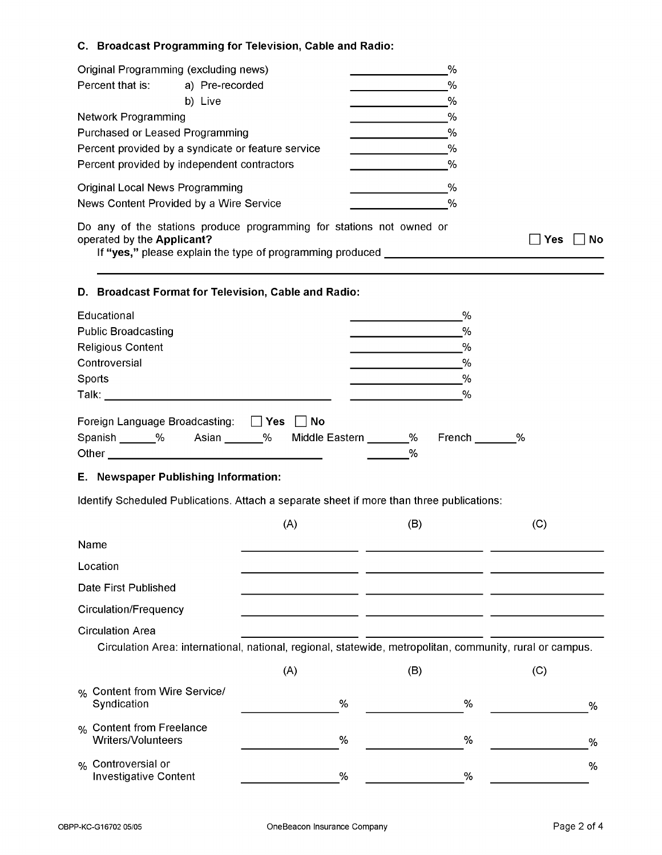### C. Broadcast Programming for Television, Cable and Radio:

| Original Programming (excluding news)                                                                                                                                                  |                                                      | %    |            |
|----------------------------------------------------------------------------------------------------------------------------------------------------------------------------------------|------------------------------------------------------|------|------------|
| Percent that is:<br>a) Pre-recorded                                                                                                                                                    | <u> 1989 - Johann Barn, mars eta bainar e</u>        | %    |            |
| b) Live                                                                                                                                                                                |                                                      | %    |            |
| <b>Network Programming</b>                                                                                                                                                             |                                                      | $\%$ |            |
| Purchased or Leased Programming                                                                                                                                                        | $\sim$ $\sim$ $\sim$                                 |      |            |
| Percent provided by a syndicate or feature service                                                                                                                                     |                                                      |      |            |
| Percent provided by independent contractors                                                                                                                                            |                                                      | %    |            |
| Original Local News Programming<br>News Content Provided by a Wire Service                                                                                                             |                                                      | %    |            |
|                                                                                                                                                                                        |                                                      |      |            |
| Do any of the stations produce programming for stations not owned or<br>operated by the Applicant?<br>If "yes," please explain the type of programming produced ______________________ |                                                      |      | Yes     No |
| D. Broadcast Format for Television, Cable and Radio:                                                                                                                                   |                                                      |      |            |
| Educational                                                                                                                                                                            | <u> 1980 - Johann Barn, fransk politik (d. 1980)</u> | %    |            |
| <b>Public Broadcasting</b>                                                                                                                                                             | <u> 1989 - Johann Barnett, fransk politiker (</u>    | $\%$ |            |
| <b>Religious Content</b>                                                                                                                                                               |                                                      | %    |            |
| Controversial                                                                                                                                                                          |                                                      | %    |            |
| Sports                                                                                                                                                                                 | $\overline{\phantom{a}}$ %                           |      |            |
|                                                                                                                                                                                        |                                                      | %    |            |
| Spanish _____% Asian ______% Middle Eastern _______% French _______%<br>E. Newspaper Publishing Information:                                                                           | %                                                    |      |            |
| Identify Scheduled Publications. Attach a separate sheet if more than three publications:                                                                                              |                                                      |      |            |
| (A)                                                                                                                                                                                    | (B)                                                  |      | (C)        |
| Name                                                                                                                                                                                   |                                                      |      |            |
| Location                                                                                                                                                                               |                                                      |      |            |
| Date First Published                                                                                                                                                                   |                                                      |      |            |
| Circulation/Frequency                                                                                                                                                                  |                                                      |      |            |
| <b>Circulation Area</b>                                                                                                                                                                |                                                      |      |            |
| Circulation Area: international, national, regional, statewide, metropolitan, community, rural or campus.                                                                              |                                                      |      |            |
| (A)                                                                                                                                                                                    | (B)                                                  |      | (C)        |
| % Content from Wire Service/                                                                                                                                                           |                                                      |      |            |
| Syndication                                                                                                                                                                            | %                                                    | %    | %          |
| % Content from Freelance                                                                                                                                                               |                                                      |      |            |
| <b>Writers/Volunteers</b>                                                                                                                                                              | %                                                    | $\%$ | %          |
| % Controversial or                                                                                                                                                                     |                                                      |      |            |
|                                                                                                                                                                                        |                                                      |      | %          |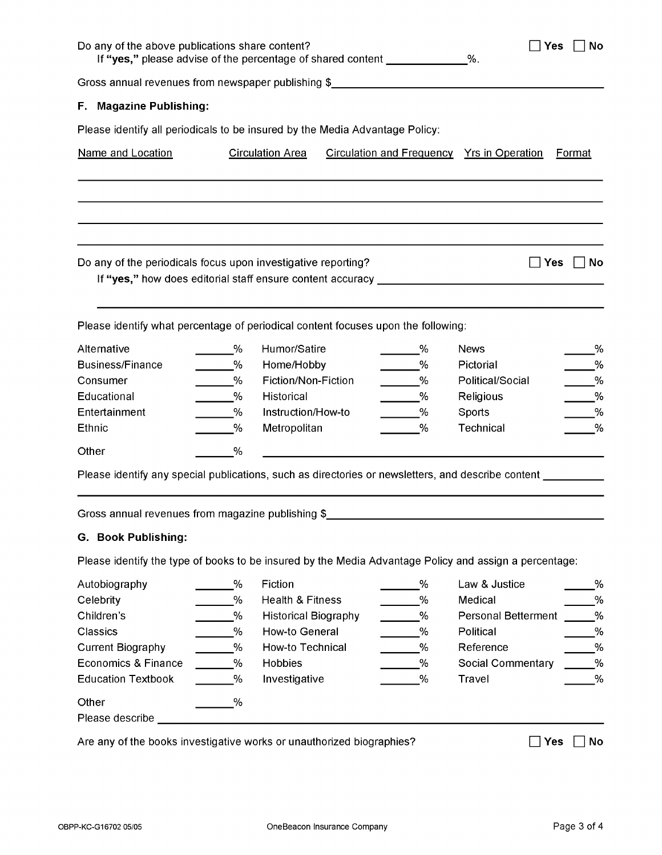| Do any of the above publications share content?<br>If "yes," please advise of the percentage of shared content ______________%.                                                                                                                         |                                                                                                                                       |                                                                                                                                         |                                                                                         |                                                                                                          | <b>Yes</b><br>No                              |
|---------------------------------------------------------------------------------------------------------------------------------------------------------------------------------------------------------------------------------------------------------|---------------------------------------------------------------------------------------------------------------------------------------|-----------------------------------------------------------------------------------------------------------------------------------------|-----------------------------------------------------------------------------------------|----------------------------------------------------------------------------------------------------------|-----------------------------------------------|
| Gross annual revenues from newspaper publishing \$_______________________________                                                                                                                                                                       |                                                                                                                                       |                                                                                                                                         |                                                                                         |                                                                                                          |                                               |
| <b>Magazine Publishing:</b><br>F.                                                                                                                                                                                                                       |                                                                                                                                       |                                                                                                                                         |                                                                                         |                                                                                                          |                                               |
| Please identify all periodicals to be insured by the Media Advantage Policy:                                                                                                                                                                            |                                                                                                                                       |                                                                                                                                         |                                                                                         |                                                                                                          |                                               |
| <b>Name and Location</b>                                                                                                                                                                                                                                |                                                                                                                                       | <b>Circulation Area</b>                                                                                                                 |                                                                                         | Circulation and Frequency Yrs in Operation                                                               | <b>Format</b>                                 |
|                                                                                                                                                                                                                                                         |                                                                                                                                       |                                                                                                                                         |                                                                                         |                                                                                                          |                                               |
| Do any of the periodicals focus upon investigative reporting?<br>If "yes," how does editorial staff ensure content accuracy _____________________                                                                                                       |                                                                                                                                       |                                                                                                                                         |                                                                                         |                                                                                                          | ∣ ∣Yes<br>No                                  |
| Please identify what percentage of periodical content focuses upon the following:                                                                                                                                                                       |                                                                                                                                       |                                                                                                                                         |                                                                                         |                                                                                                          |                                               |
| Alternative<br><b>Business/Finance</b><br>Consumer<br>Educational<br>Entertainment<br>Ethnic<br>Other                                                                                                                                                   | $-$ %<br>$\overline{\phantom{1}}^{\%}$<br>$\overline{\phantom{1}}^{\%}$<br>$\sim$ $\sim$ $\sim$<br>$\overline{\phantom{1}}^{\%}$<br>% | Humor/Satire<br>Home/Hobby<br>Fiction/Non-Fiction<br>Historical<br>Instruction/How-to<br>Metropolitan                                   | %<br>$\%$<br>$\overline{\phantom{1}}^{\%}$<br>___________%<br>$\sim$ $\sim$ $\sim$<br>% | <b>News</b><br>Pictorial<br>Political/Social<br>Religious<br>Sports<br>Technical                         | %<br>$\sim$ %<br>$-$ %<br>________%<br>%<br>% |
| Please identify any special publications, such as directories or newsletters, and describe content __________<br>Gross annual revenues from magazine publishing \$                                                                                      |                                                                                                                                       |                                                                                                                                         |                                                                                         |                                                                                                          |                                               |
| G. Book Publishing:                                                                                                                                                                                                                                     |                                                                                                                                       |                                                                                                                                         |                                                                                         |                                                                                                          |                                               |
| Please identify the type of books to be insured by the Media Advantage Policy and assign a percentage:<br>Autobiography<br>Celebrity<br>Children's<br>Classics<br><b>Current Biography</b><br>Economics & Finance<br><b>Education Textbook</b><br>Other | $\%$<br>%<br>%<br>%<br>%<br>$\sim$ %<br>℅<br>%                                                                                        | Fiction<br><b>Health &amp; Fitness</b><br><b>Historical Biography</b><br>How-to General<br>How-to Technical<br>Hobbies<br>Investigative | %<br>$\%$<br>%<br>$\%$<br>%<br>%<br>$\%$                                                | Law & Justice<br>Medical<br>Personal Betterment<br>Political<br>Reference<br>Social Commentary<br>Travel | ℅<br>%<br>%<br>%<br>%<br>$\frac{9}{6}$<br>%   |
| Please describe _                                                                                                                                                                                                                                       |                                                                                                                                       |                                                                                                                                         |                                                                                         |                                                                                                          |                                               |
| Are any of the books investigative works or unauthorized biographies?                                                                                                                                                                                   |                                                                                                                                       |                                                                                                                                         |                                                                                         |                                                                                                          | <b>Yes</b><br>No                              |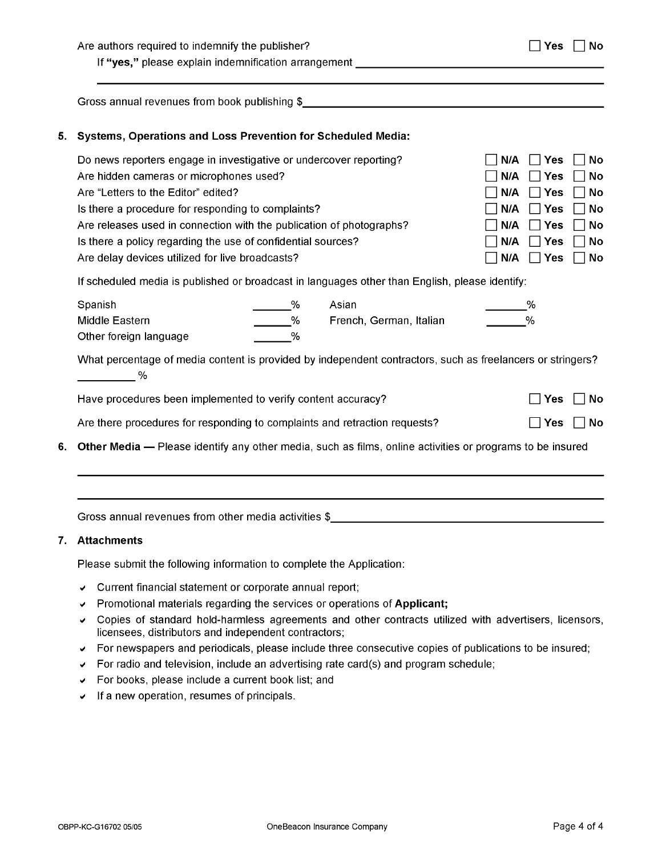|    | Are authors required to indemnify the publisher?<br>If "yes," please explain indemnification arrangement                                                                                                                                                                                                                                                                                              | <b>Yes</b><br>No                                                                                                                                                   |
|----|-------------------------------------------------------------------------------------------------------------------------------------------------------------------------------------------------------------------------------------------------------------------------------------------------------------------------------------------------------------------------------------------------------|--------------------------------------------------------------------------------------------------------------------------------------------------------------------|
|    | Gross annual revenues from book publishing \$                                                                                                                                                                                                                                                                                                                                                         |                                                                                                                                                                    |
| 5. | Systems, Operations and Loss Prevention for Scheduled Media:                                                                                                                                                                                                                                                                                                                                          |                                                                                                                                                                    |
|    | Do news reporters engage in investigative or undercover reporting?<br>Are hidden cameras or microphones used?<br>Are "Letters to the Editor" edited?<br>Is there a procedure for responding to complaints?<br>Are releases used in connection with the publication of photographs?<br>Is there a policy regarding the use of confidential sources?<br>Are delay devices utilized for live broadcasts? | No<br>N/A<br>∣ Yes<br>∃ Yes<br>N/A<br>No<br>N/A<br>$\Box$ Yes<br>No<br>N/A<br>∃ Yes<br>No<br>∃ Yes<br><b>No</b><br>N/A<br>N/A<br>∃ Yes<br>No<br>N/A<br>∃ Yes<br>No |
|    | If scheduled media is published or broadcast in languages other than English, please identify:                                                                                                                                                                                                                                                                                                        |                                                                                                                                                                    |
|    | Asian<br>Spanish<br>$-$ %<br>$\%$<br><b>Middle Eastern</b><br>French, German, Italian<br>%<br>Other foreign language                                                                                                                                                                                                                                                                                  |                                                                                                                                                                    |
|    | What percentage of media content is provided by independent contractors, such as freelancers or stringers?<br>$\%$                                                                                                                                                                                                                                                                                    |                                                                                                                                                                    |
|    | Have procedures been implemented to verify content accuracy?                                                                                                                                                                                                                                                                                                                                          | <b>Yes</b><br>No                                                                                                                                                   |
|    | Are there procedures for responding to complaints and retraction requests?                                                                                                                                                                                                                                                                                                                            | <b>No</b><br><b>Yes</b>                                                                                                                                            |
| 6. | Other Media — Please identify any other media, such as films, online activities or programs to be insured                                                                                                                                                                                                                                                                                             |                                                                                                                                                                    |
|    |                                                                                                                                                                                                                                                                                                                                                                                                       |                                                                                                                                                                    |
|    |                                                                                                                                                                                                                                                                                                                                                                                                       |                                                                                                                                                                    |
|    | Gross annual revenues from other media activities \$                                                                                                                                                                                                                                                                                                                                                  |                                                                                                                                                                    |

### 7. Attachments

Please submit the following information to complete the Application:

- Current financial statement or corporate annual report;
- Promotional materials regarding the services or operations of Applicant;
- Copies of standard hold-harmless agreements and other contracts utilized with advertisers, licensors, licensees, distributors and independent contractors;
- For newspapers and periodicals, please include three consecutive copies of publications to be insured;
- ► For radio and television, include an advertising rate card(s) and program schedule;
- ► For books, please include a current book list; and
- $\vee$  If a new operation, resumes of principals.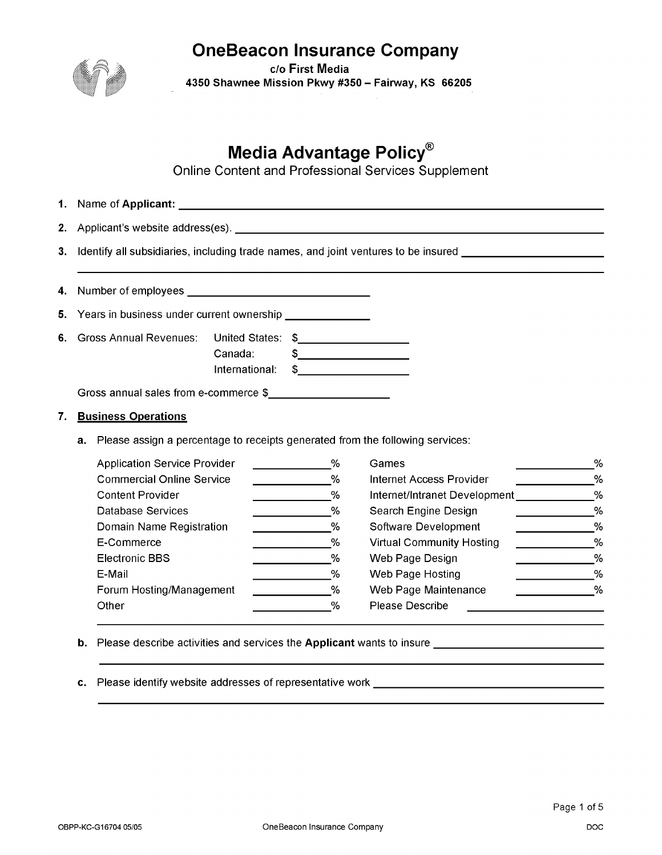| <b>OneBeacon Insurance Company</b> |  |  |
|------------------------------------|--|--|
|------------------------------------|--|--|

c/o First Media

4350 Shawnee Mission Pkwy #350 - Fairway, KS 66205

# Media Advantage Policy®<br>Online Content and Professional Services Supplement

| 1. |                                                                                                                                                                                                                                |      |                                  |                                                            |  |  |  |  |  |  |  |  |  |
|----|--------------------------------------------------------------------------------------------------------------------------------------------------------------------------------------------------------------------------------|------|----------------------------------|------------------------------------------------------------|--|--|--|--|--|--|--|--|--|
| 2. | Applicant's website address(es). Notice and the set of the set of the set of the set of the set of the set of the set of the set of the set of the set of the set of the set of the set of the set of the set of the set of th |      |                                  |                                                            |  |  |  |  |  |  |  |  |  |
| 3. | Identify all subsidiaries, including trade names, and joint ventures to be insured                                                                                                                                             |      |                                  |                                                            |  |  |  |  |  |  |  |  |  |
| 4. |                                                                                                                                                                                                                                |      |                                  |                                                            |  |  |  |  |  |  |  |  |  |
| 5. |                                                                                                                                                                                                                                |      |                                  |                                                            |  |  |  |  |  |  |  |  |  |
| 6. | <b>Gross Annual Revenues:</b><br>United States: \$____________________<br>Canada:<br>International:                                                                                                                            |      | $\frac{1}{2}$<br>$\frac{1}{2}$   |                                                            |  |  |  |  |  |  |  |  |  |
|    | Gross annual sales from e-commerce \$                                                                                                                                                                                          |      |                                  |                                                            |  |  |  |  |  |  |  |  |  |
| 7. | <b>Business Operations</b>                                                                                                                                                                                                     |      |                                  |                                                            |  |  |  |  |  |  |  |  |  |
|    | Please assign a percentage to receipts generated from the following services:<br>a.                                                                                                                                            |      |                                  |                                                            |  |  |  |  |  |  |  |  |  |
|    | <b>Application Service Provider</b>                                                                                                                                                                                            | %    | Games                            | $\%$                                                       |  |  |  |  |  |  |  |  |  |
|    | <b>Commercial Online Service</b>                                                                                                                                                                                               | %    | Internet Access Provider         | %                                                          |  |  |  |  |  |  |  |  |  |
|    | <b>Content Provider</b>                                                                                                                                                                                                        | %    | Internet/Intranet Development    | %                                                          |  |  |  |  |  |  |  |  |  |
|    | Database Services                                                                                                                                                                                                              | %    | Search Engine Design             | %                                                          |  |  |  |  |  |  |  |  |  |
|    | Domain Name Registration                                                                                                                                                                                                       | %    | Software Development             | %                                                          |  |  |  |  |  |  |  |  |  |
|    | E-Commerce                                                                                                                                                                                                                     | %    | <b>Virtual Community Hosting</b> | %<br>$\overline{\phantom{a}}$ and $\overline{\phantom{a}}$ |  |  |  |  |  |  |  |  |  |
|    | <b>Electronic BBS</b>                                                                                                                                                                                                          | $\%$ | Web Page Design                  | %                                                          |  |  |  |  |  |  |  |  |  |
|    | E-Mail                                                                                                                                                                                                                         | %    | Web Page Hosting                 | %                                                          |  |  |  |  |  |  |  |  |  |
|    | Forum Hosting/Management                                                                                                                                                                                                       | %    | Web Page Maintenance             | %                                                          |  |  |  |  |  |  |  |  |  |
|    | Other                                                                                                                                                                                                                          | %    | Please Describe                  |                                                            |  |  |  |  |  |  |  |  |  |

- b. Please describe activities and services the Applicant wants to insure
-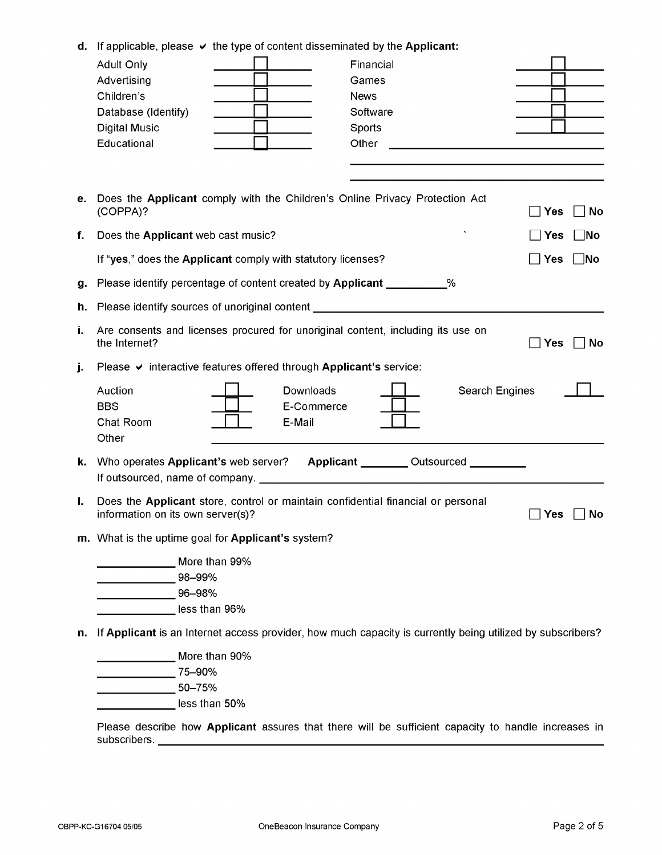|  |  | <b>d.</b> If applicable, please $\vee$ the type of content disseminated by the Applicant: |  |  |  |
|--|--|-------------------------------------------------------------------------------------------|--|--|--|
|  |  |                                                                                           |  |  |  |

| α. | It applicable, please $\vee$ the type of content disseminated by the Applicant:<br><b>Adult Only</b>                                                                                                                                 | Financial                                |
|----|--------------------------------------------------------------------------------------------------------------------------------------------------------------------------------------------------------------------------------------|------------------------------------------|
|    | Advertising                                                                                                                                                                                                                          | Games                                    |
|    | Children's                                                                                                                                                                                                                           | <b>News</b>                              |
|    | Database (Identify)                                                                                                                                                                                                                  | Software                                 |
|    | <b>Digital Music</b>                                                                                                                                                                                                                 | Sports                                   |
|    | Educational                                                                                                                                                                                                                          | Other                                    |
|    |                                                                                                                                                                                                                                      |                                          |
|    |                                                                                                                                                                                                                                      |                                          |
| е. | Does the Applicant comply with the Children's Online Privacy Protection Act<br>(COPPA)?                                                                                                                                              | No<br>Yes                                |
| f. | Does the Applicant web cast music?                                                                                                                                                                                                   | No<br><b>Yes</b>                         |
|    | If "yes," does the Applicant comply with statutory licenses?                                                                                                                                                                         | $\Box$ Yes<br> No                        |
| g. | Please identify percentage of content created by Applicant _________                                                                                                                                                                 | %                                        |
| h. |                                                                                                                                                                                                                                      |                                          |
| i. | Are consents and licenses procured for unoriginal content, including its use on<br>the Internet?                                                                                                                                     | <b>Yes</b><br>No                         |
| j. | Please v interactive features offered through Applicant's service:                                                                                                                                                                   |                                          |
|    | Auction<br>Downloads                                                                                                                                                                                                                 | <b>Search Engines</b>                    |
|    | <b>BBS</b><br>E-Commerce                                                                                                                                                                                                             |                                          |
|    | Chat Room<br>E-Mail                                                                                                                                                                                                                  |                                          |
|    | Other                                                                                                                                                                                                                                |                                          |
| k. | Who operates Applicant's web server?                                                                                                                                                                                                 | Applicant _________ Outsourced _________ |
|    | If outsourced, name of company. <b>contract the contract of the contract of the contract of the contract of the contract of the contract of the contract of the contract of the contract of the contract of the contract of the </b> |                                          |
| L. | Does the Applicant store, control or maintain confidential financial or personal                                                                                                                                                     |                                          |
|    | information on its own server(s)?                                                                                                                                                                                                    | No<br><b>Yes</b>                         |
|    | m. What is the uptime goal for Applicant's system?                                                                                                                                                                                   |                                          |
|    | More than 99%                                                                                                                                                                                                                        |                                          |
|    | 98-99%                                                                                                                                                                                                                               |                                          |
|    | 96-98%                                                                                                                                                                                                                               |                                          |
|    | less than 96%                                                                                                                                                                                                                        |                                          |
| n. | If Applicant is an Internet access provider, how much capacity is currently being utilized by subscribers?                                                                                                                           |                                          |
|    | More than 90%                                                                                                                                                                                                                        |                                          |
|    | 75-90%                                                                                                                                                                                                                               |                                          |
|    | 50-75%                                                                                                                                                                                                                               |                                          |
|    | less than 50%                                                                                                                                                                                                                        |                                          |
|    | Please describe how Applicant assures that there will be sufficient capacity to handle increases in                                                                                                                                  |                                          |

subscribers.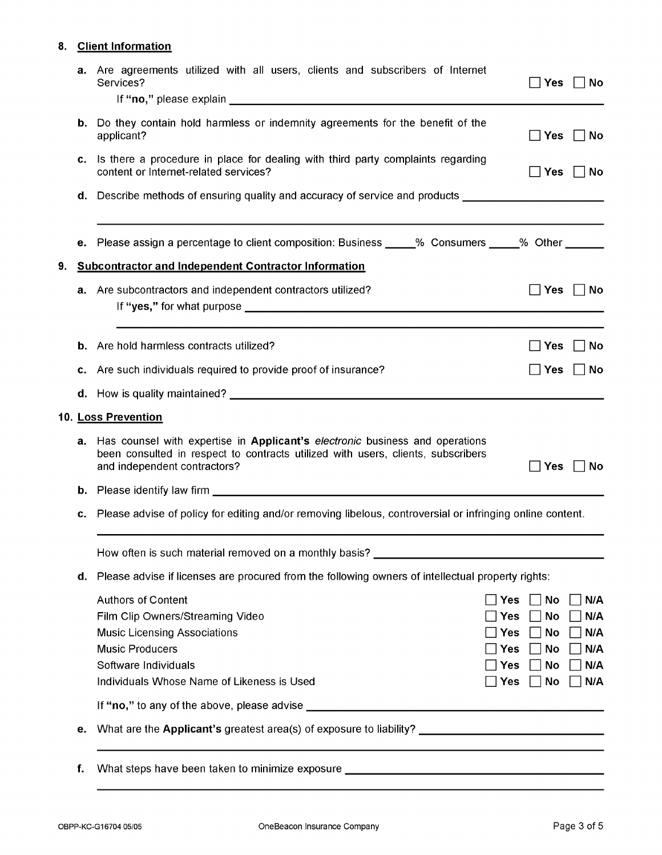### 8. Client Information

|    |    | <b>a.</b> Are agreements utilized with all users, clients and subscribers of Internet<br>Services?                                                                                                                                                                                            |                                                                           | Yes                                                          | l No                                   |
|----|----|-----------------------------------------------------------------------------------------------------------------------------------------------------------------------------------------------------------------------------------------------------------------------------------------------|---------------------------------------------------------------------------|--------------------------------------------------------------|----------------------------------------|
|    |    | <b>b.</b> Do they contain hold harmless or indemnity agreements for the benefit of the<br>applicant?                                                                                                                                                                                          |                                                                           | l Yes                                                        | No                                     |
|    | с. | Is there a procedure in place for dealing with third party complaints regarding<br>content or Internet-related services?                                                                                                                                                                      |                                                                           | Yes                                                          | No.                                    |
|    |    | d. Describe methods of ensuring quality and accuracy of service and products ______________________                                                                                                                                                                                           |                                                                           |                                                              |                                        |
|    | е. | Please assign a percentage to client composition: Business _____% Consumers _____% Other ______                                                                                                                                                                                               |                                                                           |                                                              |                                        |
| 9. |    | <b>Subcontractor and Independent Contractor Information</b>                                                                                                                                                                                                                                   |                                                                           |                                                              |                                        |
|    |    | a. Are subcontractors and independent contractors utilized?<br>If "yes," for what purpose with the control of the control of the control of the control of the control of the control of the control of the control of the control of the control of the control of the control of the contro |                                                                           | $\Box$ Yes                                                   | ∣No                                    |
|    |    | <b>b.</b> Are hold harmless contracts utilized?                                                                                                                                                                                                                                               |                                                                           | <b>Yes</b>                                                   | No                                     |
|    | с. | Are such individuals required to provide proof of insurance?                                                                                                                                                                                                                                  |                                                                           | Yes                                                          | No                                     |
|    |    |                                                                                                                                                                                                                                                                                               |                                                                           |                                                              |                                        |
|    |    | 10. Loss Prevention                                                                                                                                                                                                                                                                           |                                                                           |                                                              |                                        |
|    |    | a. Has counsel with expertise in Applicant's <i>electronic</i> business and operations<br>been consulted in respect to contracts utilized with users, clients, subscribers<br>and independent contractors?                                                                                    |                                                                           | Yes                                                          | No                                     |
|    |    |                                                                                                                                                                                                                                                                                               |                                                                           |                                                              |                                        |
|    | с. | Please advise of policy for editing and/or removing libelous, controversial or infringing online content.                                                                                                                                                                                     |                                                                           |                                                              |                                        |
|    |    | How often is such material removed on a monthly basis?                                                                                                                                                                                                                                        |                                                                           |                                                              |                                        |
|    | d. | Please advise if licenses are procured from the following owners of intellectual property rights:                                                                                                                                                                                             |                                                                           |                                                              |                                        |
|    |    | <b>Authors of Content</b><br>Film Clip Owners/Streaming Video<br><b>Music Licensing Associations</b><br><b>Music Producers</b><br>Software Individuals<br>Individuals Whose Name of Likeness is Used                                                                                          | <b>Yes</b><br>Yes<br><b>Yes</b><br><b>Yes</b><br><b>Yes</b><br><b>Yes</b> | <b>No</b><br><b>No</b><br>No<br>No<br><b>No</b><br><b>No</b> | N/A<br>N/A<br>N/A<br>N/A<br>N/A<br>N/A |
|    |    |                                                                                                                                                                                                                                                                                               |                                                                           |                                                              |                                        |
|    | е. |                                                                                                                                                                                                                                                                                               |                                                                           |                                                              |                                        |
|    | f. | What steps have been taken to minimize exposure ________________________________                                                                                                                                                                                                              |                                                                           |                                                              |                                        |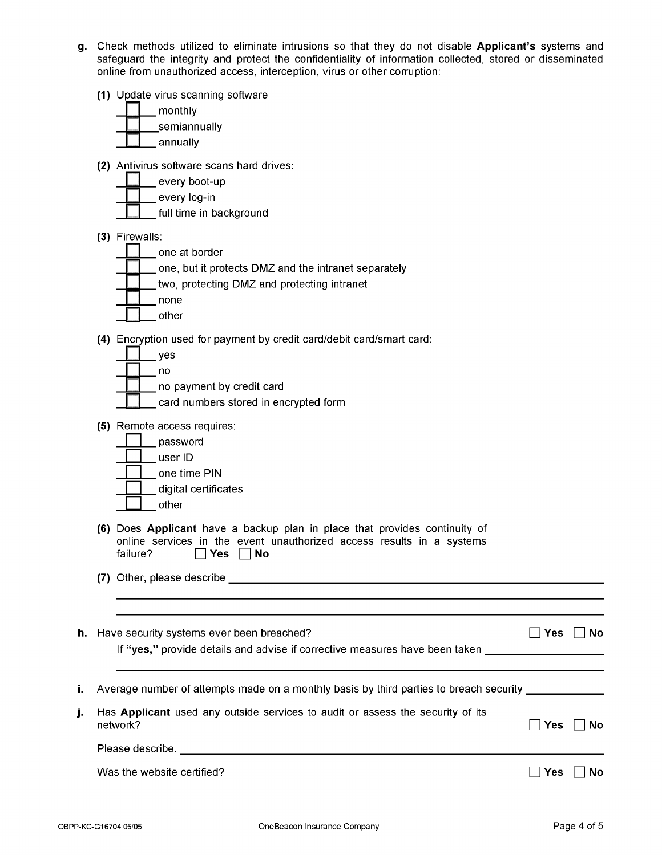- g. Check methods utilized to eliminate intrusions so that they do not disable Applicant's systems and safeguard the integrity and protect the confidentiality of information collected, stored or disseminated online from unauthorized access, interception, virus or other corruption:
	- (1) Update virus scanning software



(2) Antivirus software scans hard drives:



- \_full time in background
- (3) Firewalls:
	- one at border
	- one, but it protects DMZ and the intranet separately
		- two, protecting DMZ and protecting intranet
	- none
	- \_ other
- (4) Encryption used for payment by credit card/debit card/smart card:



(5) Remote access requires:

|  | password             |
|--|----------------------|
|  | user ID              |
|  | one time PIN         |
|  | digital certificates |
|  | other                |

(6) Does Applicant have a backup plan in place that provides continuity of online services in the event unauthorized access results in a systems failure?  $\Box$  Yes  $\Box$  No

|    | h. Have security systems ever been breached?<br>If "yes," provide details and advise if corrective measures have been taken | l Yes         | No |
|----|-----------------------------------------------------------------------------------------------------------------------------|---------------|----|
| i. | Average number of attempts made on a monthly basis by third parties to breach security                                      |               |    |
| Ĺ. | Has Applicant used any outside services to audit or assess the security of its<br>network?                                  | ∣ Yes         | No |
|    | Please describe.                                                                                                            |               |    |
|    | Was the website certified?                                                                                                  | $\exists$ Yes | Νo |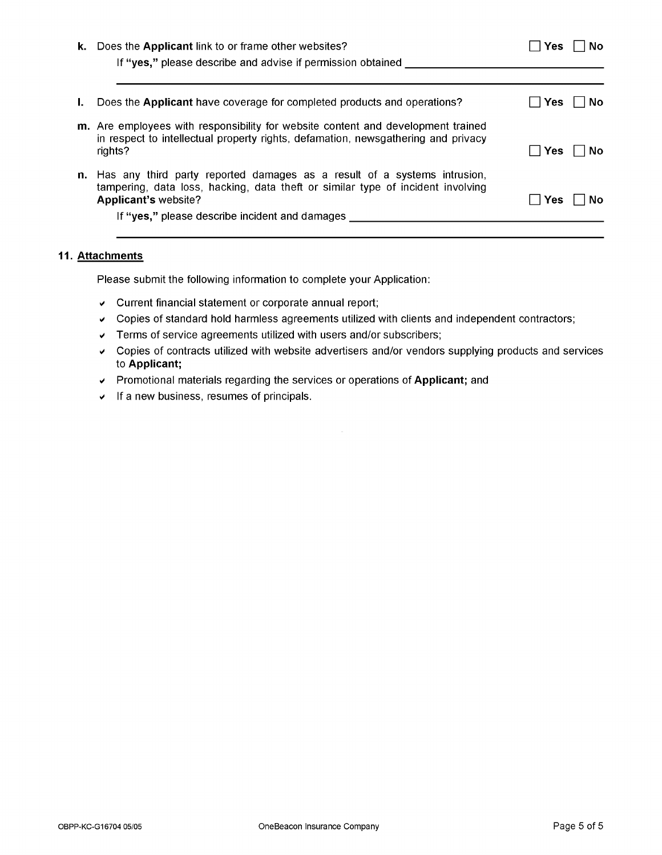| k. | Does the Applicant link to or frame other websites?<br>If "yes," please describe and advise if permission obtained                                                                                                                       | Yes        | No. |
|----|------------------------------------------------------------------------------------------------------------------------------------------------------------------------------------------------------------------------------------------|------------|-----|
|    | Does the Applicant have coverage for completed products and operations?                                                                                                                                                                  | <b>Yes</b> | No. |
|    | <b>m.</b> Are employees with responsibility for website content and development trained<br>in respect to intellectual property rights, defamation, newsgathering and privacy<br>rights?                                                  | <b>Yes</b> | No. |
|    | n. Has any third party reported damages as a result of a systems intrusion,<br>tampering, data loss, hacking, data theft or similar type of incident involving<br>Applicant's website?<br>If "yes," please describe incident and damages | <b>Yes</b> | No. |

### 11. Attachments

Please submit the following information to complete your Application:

- Current financial statement or corporate annual report;
- Copies of standard hold harmless agreements utilized with clients and independent contractors;
- ↓ Terms of service agreements utilized with users and/or subscribers;
- ↓ Copies of contracts utilized with website advertisers and/or vendors supplying products and services to Applicant;
- ↓ Promotional materials regarding the services or operations of Applicant; and
- $\vee$  If a new business, resumes of principals.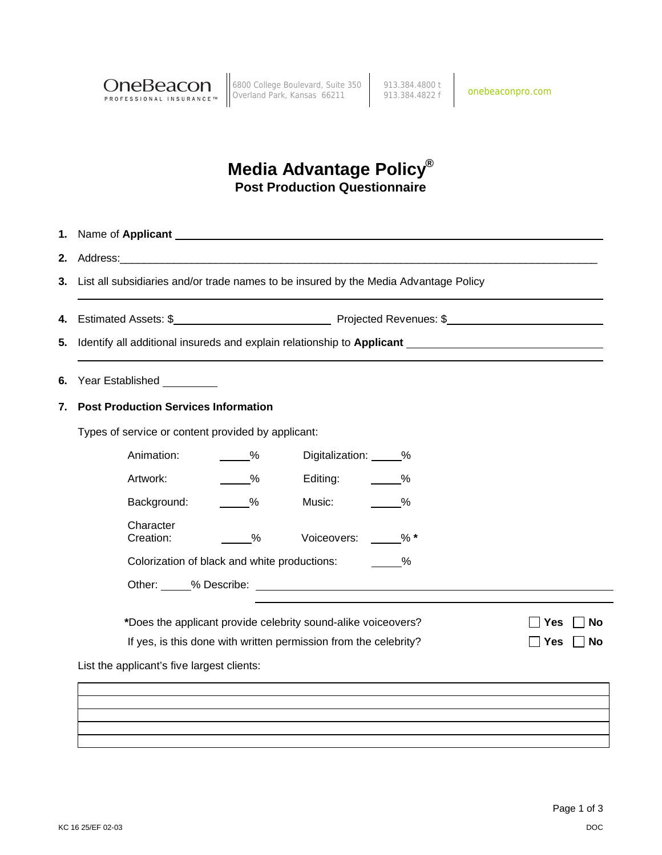

913.384.4800 t 913.384.4822 f

onebeaconpro.com

### **Media Advantage Policy® Post Production Questionnaire**

| List all subsidiaries and/or trade names to be insured by the Media Advantage Policy                                                                                                                                          |                    |
|-------------------------------------------------------------------------------------------------------------------------------------------------------------------------------------------------------------------------------|--------------------|
|                                                                                                                                                                                                                               |                    |
|                                                                                                                                                                                                                               |                    |
|                                                                                                                                                                                                                               |                    |
|                                                                                                                                                                                                                               |                    |
|                                                                                                                                                                                                                               |                    |
| Digitalization: _____%                                                                                                                                                                                                        |                    |
| Editing:<br>$\frac{9}{6}$                                                                                                                                                                                                     |                    |
| $\%$                                                                                                                                                                                                                          |                    |
| Voiceovers: %*                                                                                                                                                                                                                |                    |
| $\%$                                                                                                                                                                                                                          |                    |
| Other: 6. Describe: 2004 Channel Communication of the Channel Channel Channel Channel Channel Channel Channel Channel Channel Channel Channel Channel Channel Channel Channel Channel Channel Channel Channel Channel Channel |                    |
| *Does the applicant provide celebrity sound-alike voiceovers?                                                                                                                                                                 | <b>No</b><br>Yes   |
| If yes, is this done with written permission from the celebrity?                                                                                                                                                              | _ Yes<br><b>No</b> |
|                                                                                                                                                                                                                               |                    |
|                                                                                                                                                                                                                               |                    |
|                                                                                                                                                                                                                               |                    |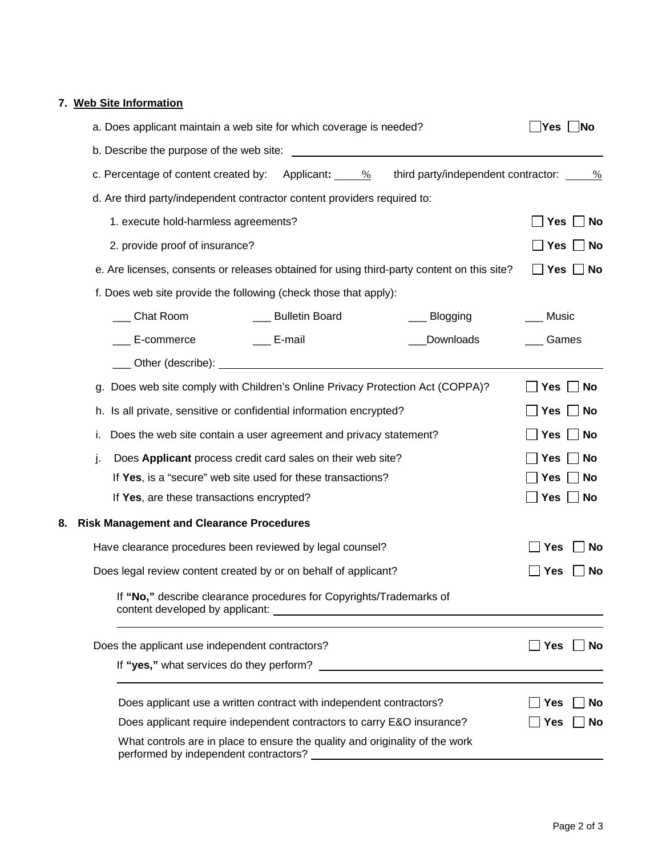### **7. Web Site Information**

|    |    | a. Does applicant maintain a web site for which coverage is needed?                                          | Yes<br>∣ ∣No              |
|----|----|--------------------------------------------------------------------------------------------------------------|---------------------------|
|    |    | b. Describe the purpose of the web site: example and the purpose of the web site:                            |                           |
|    |    | c. Percentage of content created by: Applicant: $\frac{1}{2}$<br>third party/independent contractor: ______% |                           |
|    |    | d. Are third party/independent contractor content providers required to:                                     |                           |
|    |    | 1. execute hold-harmless agreements?                                                                         | $\vert$ $\vert$ No<br>Yes |
|    |    | 2. provide proof of insurance?                                                                               | Yes<br>  No               |
|    |    | e. Are licenses, consents or releases obtained for using third-party content on this site?                   | Yes No                    |
|    |    | f. Does web site provide the following (check those that apply):                                             |                           |
|    |    | _ Chat Room<br>__ Bulletin Board<br>___ Blogging                                                             | Music                     |
|    |    | E-commerce _____ E-mail<br>Downloads                                                                         | Games                     |
|    |    |                                                                                                              |                           |
|    |    | g. Does web site comply with Children's Online Privacy Protection Act (COPPA)?                               | Yes  <br>  No             |
|    |    | h. Is all private, sensitive or confidential information encrypted?                                          | Yes  <br>  No             |
|    |    | Does the web site contain a user agreement and privacy statement?                                            | No<br>Yes                 |
|    | j. | Does Applicant process credit card sales on their web site?                                                  | No<br>Yes                 |
|    |    | If Yes, is a "secure" web site used for these transactions?                                                  | No<br>Yes                 |
|    |    | If Yes, are these transactions encrypted?                                                                    | No<br>Yes $ $             |
| 8. |    | <b>Risk Management and Clearance Procedures</b>                                                              |                           |
|    |    | Have clearance procedures been reviewed by legal counsel?                                                    | Yes<br>No                 |
|    |    | Does legal review content created by or on behalf of applicant?                                              | <b>Yes</b><br>No          |
|    |    | If "No," describe clearance procedures for Copyrights/Trademarks of                                          |                           |
|    |    | Does the applicant use independent contractors?                                                              | ∣ Yes<br>No               |
|    |    |                                                                                                              |                           |
|    |    | Does applicant use a written contract with independent contractors?                                          | Yes<br><b>No</b>          |
|    |    | Does applicant require independent contractors to carry E&O insurance?                                       | Yes<br><b>No</b>          |
|    |    | What controls are in place to ensure the quality and originality of the work                                 |                           |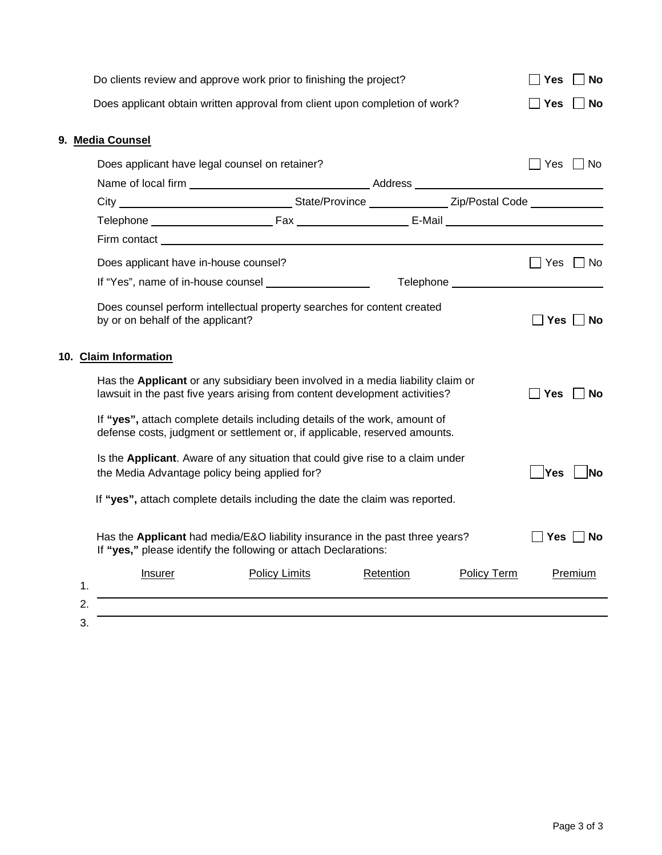| Do clients review and approve work prior to finishing the project?                                                                                                                                                                                                                                                                                                          |                      |           |                                    | Yes                  | No            |
|-----------------------------------------------------------------------------------------------------------------------------------------------------------------------------------------------------------------------------------------------------------------------------------------------------------------------------------------------------------------------------|----------------------|-----------|------------------------------------|----------------------|---------------|
| Does applicant obtain written approval from client upon completion of work?                                                                                                                                                                                                                                                                                                 |                      |           |                                    | Yes                  | <b>No</b>     |
| 9. Media Counsel                                                                                                                                                                                                                                                                                                                                                            |                      |           |                                    |                      |               |
| Does applicant have legal counsel on retainer?                                                                                                                                                                                                                                                                                                                              |                      |           |                                    | $\Box$ Yes $\Box$ No |               |
|                                                                                                                                                                                                                                                                                                                                                                             |                      |           |                                    |                      |               |
|                                                                                                                                                                                                                                                                                                                                                                             |                      |           |                                    |                      |               |
|                                                                                                                                                                                                                                                                                                                                                                             |                      |           |                                    |                      |               |
|                                                                                                                                                                                                                                                                                                                                                                             |                      |           |                                    |                      |               |
| Does applicant have in-house counsel?                                                                                                                                                                                                                                                                                                                                       |                      |           |                                    | l IYes I INo         |               |
|                                                                                                                                                                                                                                                                                                                                                                             |                      |           | Telephone Management Communication |                      |               |
| Does counsel perform intellectual property searches for content created<br>by or on behalf of the applicant?                                                                                                                                                                                                                                                                |                      |           |                                    |                      | $Yes \mid No$ |
| 10. Claim Information<br>Has the Applicant or any subsidiary been involved in a media liability claim or<br>lawsuit in the past five years arising from content development activities?                                                                                                                                                                                     |                      |           |                                    | <b>Yes</b>           | No            |
| If "yes", attach complete details including details of the work, amount of<br>defense costs, judgment or settlement or, if applicable, reserved amounts.<br>Is the Applicant. Aware of any situation that could give rise to a claim under<br>the Media Advantage policy being applied for?<br>If "yes", attach complete details including the date the claim was reported. |                      |           |                                    | Yes                  | <b>No</b>     |
| Has the Applicant had media/E&O liability insurance in the past three years?<br>If "yes," please identify the following or attach Declarations:                                                                                                                                                                                                                             |                      |           |                                    | <b>Yes</b>           | <b>No</b>     |
| <b>Insurer</b><br>1.                                                                                                                                                                                                                                                                                                                                                        | <b>Policy Limits</b> | Retention | Policy Term                        |                      | Premium       |
| 2.                                                                                                                                                                                                                                                                                                                                                                          |                      |           |                                    |                      |               |
|                                                                                                                                                                                                                                                                                                                                                                             |                      |           |                                    |                      |               |

3.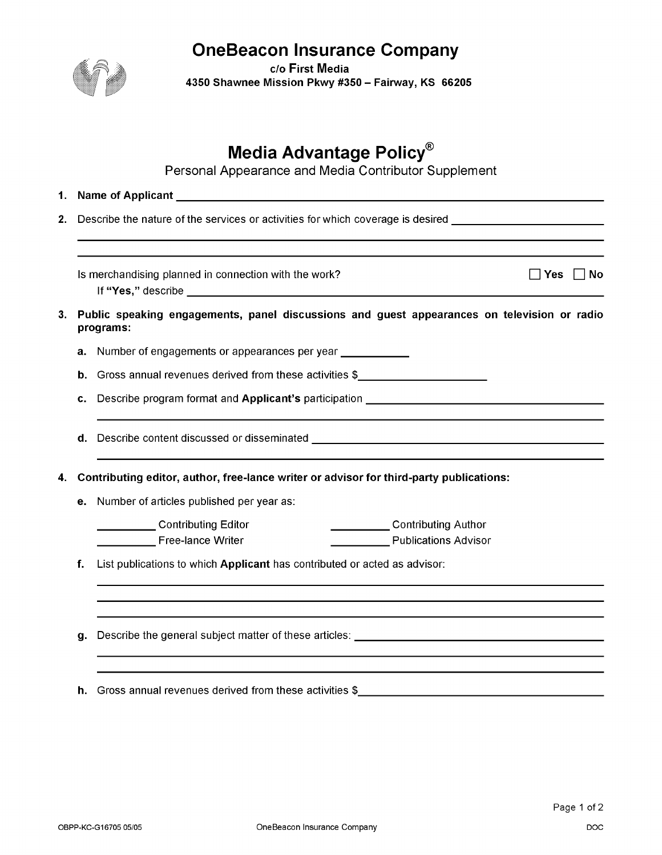| <b>OneBeacon Insurance Company</b> |  |  |
|------------------------------------|--|--|
|------------------------------------|--|--|

c/o First Media

4350 Shawnee Mission Pkwy #350 - Fairway, KS 66205

# Media Advantage Policy®<br>Personal Appearance and Media Contributor Supplement

| 1. |    | Name of Applicant <u>Name of Applicant</u>                                                               |
|----|----|----------------------------------------------------------------------------------------------------------|
| 2. |    | Describe the nature of the services or activities for which coverage is desired ____________________     |
|    |    | Is merchandising planned in connection with the work?<br>No<br>∣ Yes                                     |
| 3. |    | Public speaking engagements, panel discussions and guest appearances on television or radio<br>programs: |
|    | а. | Number of engagements or appearances per year ____________                                               |
|    |    | <b>b.</b> Gross annual revenues derived from these activities \$                                         |
|    | c. | Describe program format and Applicant's participation <b>Description</b>                                 |
|    | d. |                                                                                                          |
| 4. |    | Contributing editor, author, free-lance writer or advisor for third-party publications:                  |
|    | е. | Number of articles published per year as:                                                                |
|    |    | Contributing Editor<br>Contributing Author<br><b>Publications Advisor</b><br>Free-lance Writer           |
|    | f. | List publications to which Applicant has contributed or acted as advisor:                                |
|    |    |                                                                                                          |
|    | a. |                                                                                                          |
|    |    |                                                                                                          |
|    |    | Gross annual revenues derived from these activities $\frac{1}{2}$                                        |